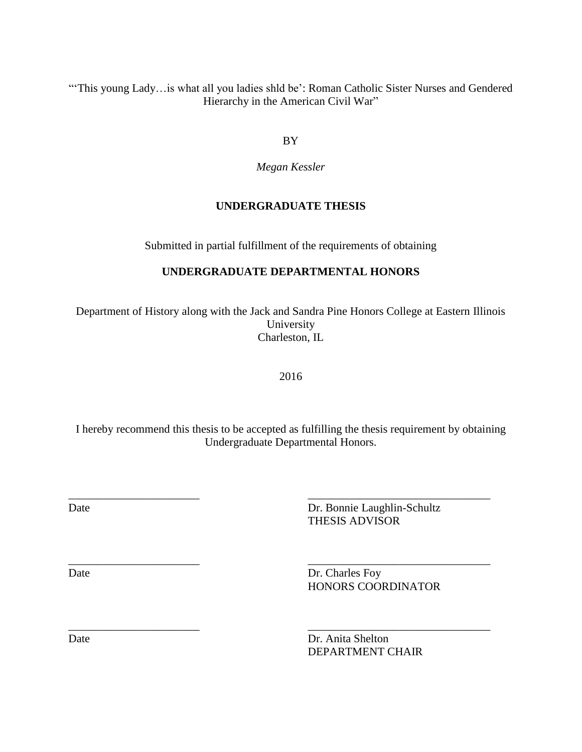"This young Lady... is what all you ladies shld be': Roman Catholic Sister Nurses and Gendered Hierarchy in the American Civil War"

BY

*Megan Kessler*

# **UNDERGRADUATE THESIS**

Submitted in partial fulfillment of the requirements of obtaining

# **UNDERGRADUATE DEPARTMENTAL HONORS**

Department of History along with the Jack and Sandra Pine Honors College at Eastern Illinois University Charleston, IL

2016

I hereby recommend this thesis to be accepted as fulfilling the thesis requirement by obtaining Undergraduate Departmental Honors.

\_\_\_\_\_\_\_\_\_\_\_\_\_\_\_\_\_\_\_\_\_\_\_ \_\_\_\_\_\_\_\_\_\_\_\_\_\_\_\_\_\_\_\_\_\_\_\_\_\_\_\_\_\_\_\_

\_\_\_\_\_\_\_\_\_\_\_\_\_\_\_\_\_\_\_\_\_\_\_ \_\_\_\_\_\_\_\_\_\_\_\_\_\_\_\_\_\_\_\_\_\_\_\_\_\_\_\_\_\_\_\_

Date Dr. Bonnie Laughlin-Schultz THESIS ADVISOR

Date Dr. Charles Foy HONORS COORDINATOR

\_\_\_\_\_\_\_\_\_\_\_\_\_\_\_\_\_\_\_\_\_\_\_ \_\_\_\_\_\_\_\_\_\_\_\_\_\_\_\_\_\_\_\_\_\_\_\_\_\_\_\_\_\_\_\_

Date Dr. Anita Shelton DEPARTMENT CHAIR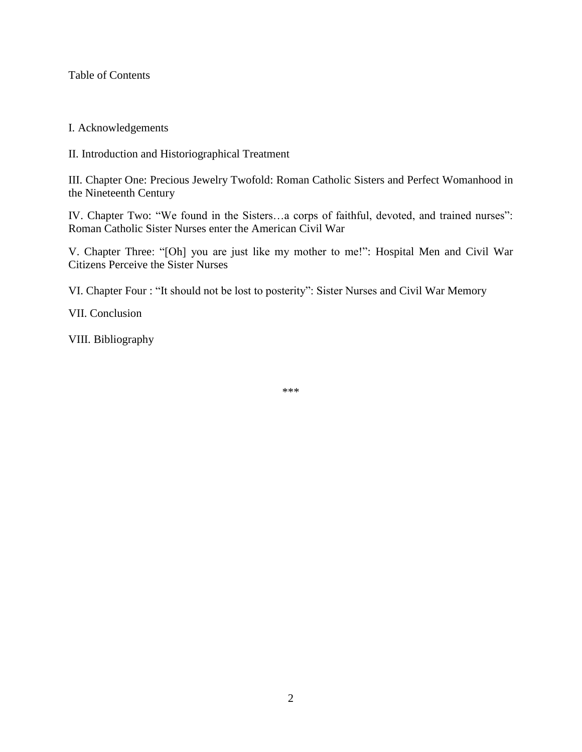Table of Contents

## I. Acknowledgements

II. Introduction and Historiographical Treatment

III. Chapter One: Precious Jewelry Twofold: Roman Catholic Sisters and Perfect Womanhood in the Nineteenth Century

IV. Chapter Two: "We found in the Sisters…a corps of faithful, devoted, and trained nurses": Roman Catholic Sister Nurses enter the American Civil War

V. Chapter Three: "[Oh] you are just like my mother to me!": Hospital Men and Civil War Citizens Perceive the Sister Nurses

VI. Chapter Four : "It should not be lost to posterity": Sister Nurses and Civil War Memory

VII. Conclusion

VIII. Bibliography

\*\*\*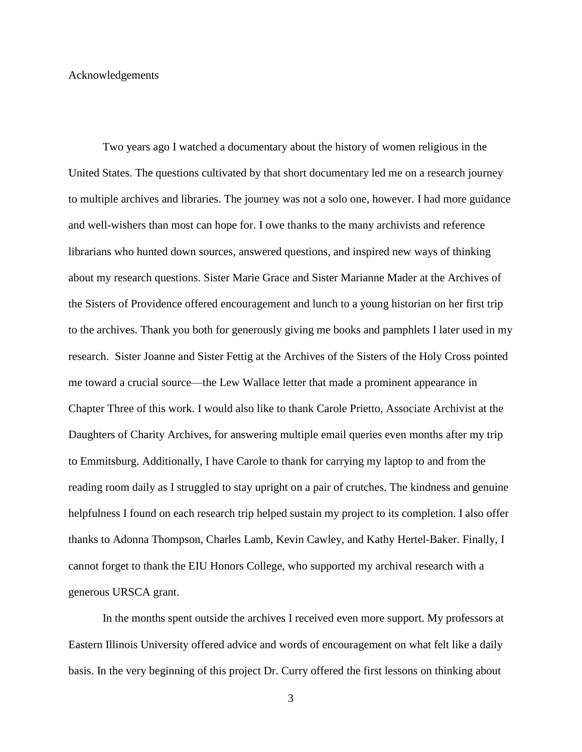#### Acknowledgements

Two years ago I watched a documentary about the history of women religious in the United States. The questions cultivated by that short documentary led me on a research journey to multiple archives and libraries. The journey was not a solo one, however. I had more guidance and well-wishers than most can hope for. I owe thanks to the many archivists and reference librarians who hunted down sources, answered questions, and inspired new ways of thinking about my research questions. Sister Marie Grace and Sister Marianne Mader at the Archives of the Sisters of Providence offered encouragement and lunch to a young historian on her first trip to the archives. Thank you both for generously giving me books and pamphlets I later used in my research. Sister Joanne and Sister Fettig at the Archives of the Sisters of the Holy Cross pointed me toward a crucial source—the Lew Wallace letter that made a prominent appearance in Chapter Three of this work. I would also like to thank Carole Prietto, Associate Archivist at the Daughters of Charity Archives, for answering multiple email queries even months after my trip to Emmitsburg. Additionally, I have Carole to thank for carrying my laptop to and from the reading room daily as I struggled to stay upright on a pair of crutches. The kindness and genuine helpfulness I found on each research trip helped sustain my project to its completion. I also offer thanks to Adonna Thompson, Charles Lamb, Kevin Cawley, and Kathy Hertel-Baker. Finally, I cannot forget to thank the EIU Honors College, who supported my archival research with a generous URSCA grant.

In the months spent outside the archives I received even more support. My professors at Eastern Illinois University offered advice and words of encouragement on what felt like a daily basis. In the very beginning of this project Dr. Curry offered the first lessons on thinking about

3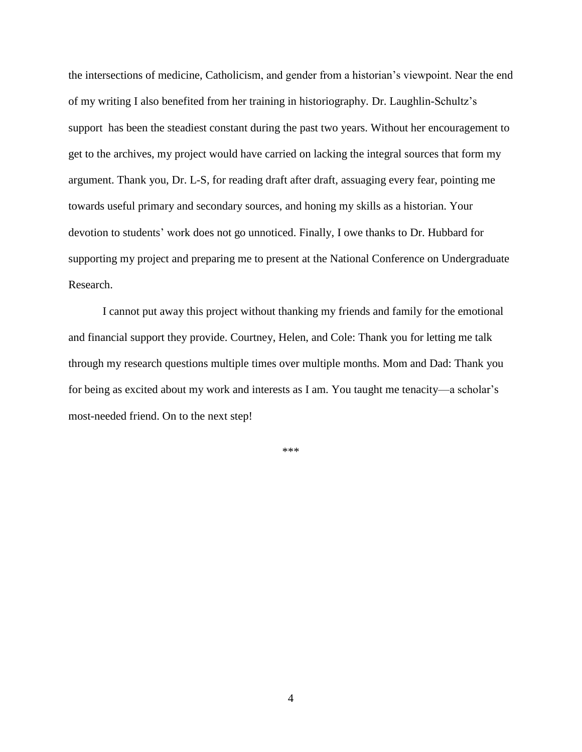the intersections of medicine, Catholicism, and gender from a historian's viewpoint. Near the end of my writing I also benefited from her training in historiography. Dr. Laughlin-Schultz's support has been the steadiest constant during the past two years. Without her encouragement to get to the archives, my project would have carried on lacking the integral sources that form my argument. Thank you, Dr. L-S, for reading draft after draft, assuaging every fear, pointing me towards useful primary and secondary sources, and honing my skills as a historian. Your devotion to students' work does not go unnoticed. Finally, I owe thanks to Dr. Hubbard for supporting my project and preparing me to present at the National Conference on Undergraduate Research.

I cannot put away this project without thanking my friends and family for the emotional and financial support they provide. Courtney, Helen, and Cole: Thank you for letting me talk through my research questions multiple times over multiple months. Mom and Dad: Thank you for being as excited about my work and interests as I am. You taught me tenacity—a scholar's most-needed friend. On to the next step!

\*\*\*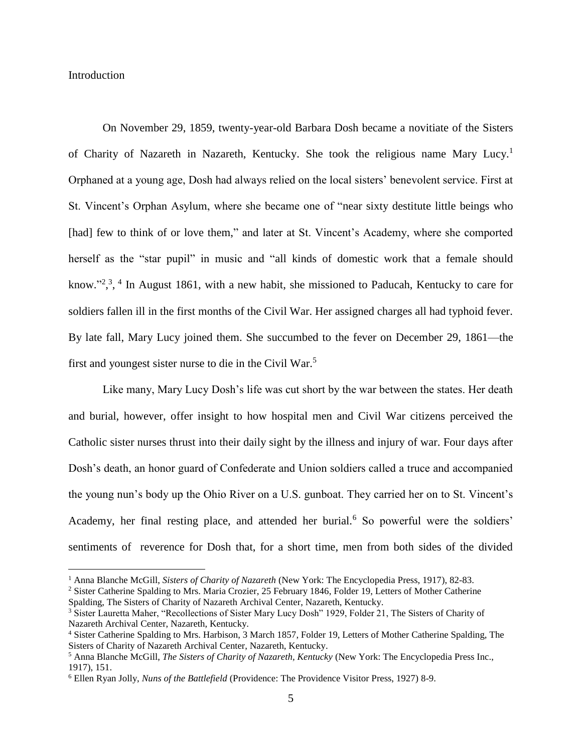#### **Introduction**

 $\overline{a}$ 

On November 29, 1859, twenty-year-old Barbara Dosh became a novitiate of the Sisters of Charity of Nazareth in Nazareth, Kentucky. She took the religious name Mary Lucy.<sup>1</sup> Orphaned at a young age, Dosh had always relied on the local sisters' benevolent service. First at St. Vincent's Orphan Asylum, where she became one of "near sixty destitute little beings who [had] few to think of or love them," and later at St. Vincent's Academy, where she comported herself as the "star pupil" in music and "all kinds of domestic work that a female should know."<sup>2, 3, 4</sup> In August 1861, with a new habit, she missioned to Paducah, Kentucky to care for soldiers fallen ill in the first months of the Civil War. Her assigned charges all had typhoid fever. By late fall, Mary Lucy joined them. She succumbed to the fever on December 29, 1861—the first and youngest sister nurse to die in the Civil War.<sup>5</sup>

Like many, Mary Lucy Dosh's life was cut short by the war between the states. Her death and burial, however, offer insight to how hospital men and Civil War citizens perceived the Catholic sister nurses thrust into their daily sight by the illness and injury of war. Four days after Dosh's death, an honor guard of Confederate and Union soldiers called a truce and accompanied the young nun's body up the Ohio River on a U.S. gunboat. They carried her on to St. Vincent's Academy, her final resting place, and attended her burial.<sup>6</sup> So powerful were the soldiers' sentiments of reverence for Dosh that, for a short time, men from both sides of the divided

<sup>1</sup> Anna Blanche McGill, *Sisters of Charity of Nazareth* (New York: The Encyclopedia Press, 1917), 82-83.

<sup>&</sup>lt;sup>2</sup> Sister Catherine Spalding to Mrs. Maria Crozier, 25 February 1846, Folder 19, Letters of Mother Catherine Spalding, The Sisters of Charity of Nazareth Archival Center, Nazareth, Kentucky.

<sup>&</sup>lt;sup>3</sup> Sister Lauretta Maher, "Recollections of Sister Mary Lucy Dosh" 1929, Folder 21, The Sisters of Charity of Nazareth Archival Center, Nazareth, Kentucky.

<sup>4</sup> Sister Catherine Spalding to Mrs. Harbison, 3 March 1857, Folder 19, Letters of Mother Catherine Spalding, The Sisters of Charity of Nazareth Archival Center, Nazareth, Kentucky.

<sup>5</sup> Anna Blanche McGill, *The Sisters of Charity of Nazareth, Kentucky* (New York: The Encyclopedia Press Inc., 1917), 151.

<sup>6</sup> Ellen Ryan Jolly, *Nuns of the Battlefield* (Providence: The Providence Visitor Press, 1927) 8-9.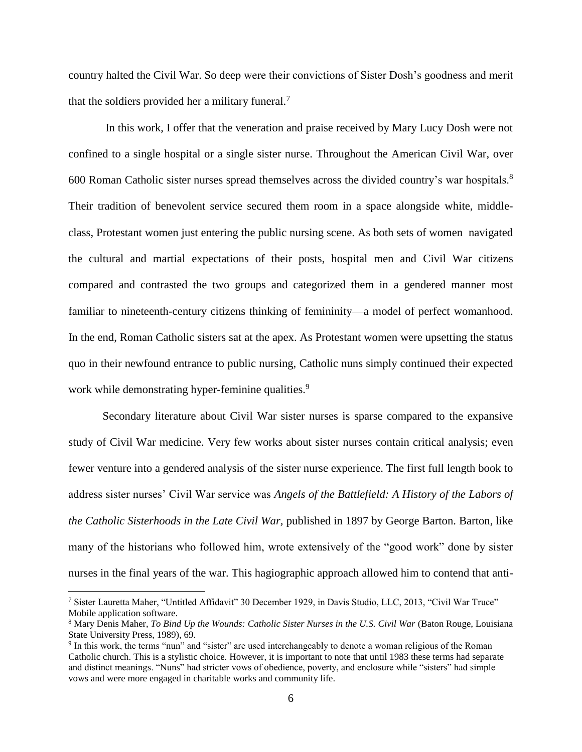country halted the Civil War. So deep were their convictions of Sister Dosh's goodness and merit that the soldiers provided her a military funeral.<sup>7</sup>

In this work, I offer that the veneration and praise received by Mary Lucy Dosh were not confined to a single hospital or a single sister nurse. Throughout the American Civil War, over 600 Roman Catholic sister nurses spread themselves across the divided country's war hospitals.<sup>8</sup> Their tradition of benevolent service secured them room in a space alongside white, middleclass, Protestant women just entering the public nursing scene. As both sets of women navigated the cultural and martial expectations of their posts, hospital men and Civil War citizens compared and contrasted the two groups and categorized them in a gendered manner most familiar to nineteenth-century citizens thinking of femininity—a model of perfect womanhood. In the end, Roman Catholic sisters sat at the apex. As Protestant women were upsetting the status quo in their newfound entrance to public nursing, Catholic nuns simply continued their expected work while demonstrating hyper-feminine qualities.<sup>9</sup>

Secondary literature about Civil War sister nurses is sparse compared to the expansive study of Civil War medicine. Very few works about sister nurses contain critical analysis; even fewer venture into a gendered analysis of the sister nurse experience. The first full length book to address sister nurses' Civil War service was *Angels of the Battlefield: A History of the Labors of the Catholic Sisterhoods in the Late Civil War,* published in 1897 by George Barton. Barton, like many of the historians who followed him, wrote extensively of the "good work" done by sister nurses in the final years of the war. This hagiographic approach allowed him to contend that anti-

<sup>7</sup> Sister Lauretta Maher, "Untitled Affidavit" 30 December 1929, in Davis Studio, LLC, 2013, "Civil War Truce" Mobile application software.

<sup>&</sup>lt;sup>8</sup> Mary Denis Maher, *To Bind Up the Wounds: Catholic Sister Nurses in the U.S. Civil War (Baton Rouge, Louisiana* State University Press, 1989), 69.

<sup>&</sup>lt;sup>9</sup> In this work, the terms "nun" and "sister" are used interchangeably to denote a woman religious of the Roman Catholic church. This is a stylistic choice. However, it is important to note that until 1983 these terms had separate and distinct meanings. "Nuns" had stricter vows of obedience, poverty, and enclosure while "sisters" had simple vows and were more engaged in charitable works and community life.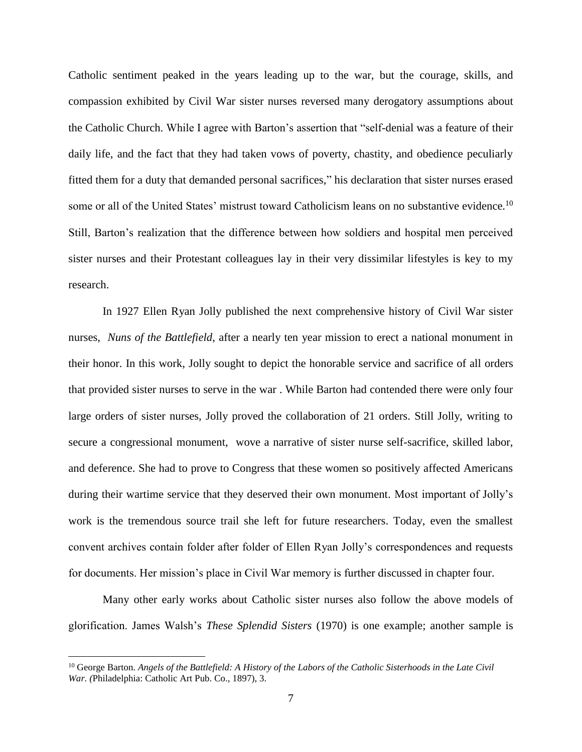Catholic sentiment peaked in the years leading up to the war, but the courage, skills, and compassion exhibited by Civil War sister nurses reversed many derogatory assumptions about the Catholic Church. While I agree with Barton's assertion that "self-denial was a feature of their daily life, and the fact that they had taken vows of poverty, chastity, and obedience peculiarly fitted them for a duty that demanded personal sacrifices," his declaration that sister nurses erased some or all of the United States' mistrust toward Catholicism leans on no substantive evidence.<sup>10</sup> Still, Barton's realization that the difference between how soldiers and hospital men perceived sister nurses and their Protestant colleagues lay in their very dissimilar lifestyles is key to my research.

In 1927 Ellen Ryan Jolly published the next comprehensive history of Civil War sister nurses, *Nuns of the Battlefield,* after a nearly ten year mission to erect a national monument in their honor. In this work, Jolly sought to depict the honorable service and sacrifice of all orders that provided sister nurses to serve in the war . While Barton had contended there were only four large orders of sister nurses, Jolly proved the collaboration of 21 orders. Still Jolly, writing to secure a congressional monument, wove a narrative of sister nurse self-sacrifice, skilled labor, and deference. She had to prove to Congress that these women so positively affected Americans during their wartime service that they deserved their own monument. Most important of Jolly's work is the tremendous source trail she left for future researchers. Today, even the smallest convent archives contain folder after folder of Ellen Ryan Jolly's correspondences and requests for documents. Her mission's place in Civil War memory is further discussed in chapter four.

Many other early works about Catholic sister nurses also follow the above models of glorification. James Walsh's *These Splendid Sisters* (1970) is one example; another sample is

<sup>10</sup> George Barton. *Angels of the Battlefield: A History of the Labors of the Catholic Sisterhoods in the Late Civil War. (*Philadelphia: Catholic Art Pub. Co., 1897), 3.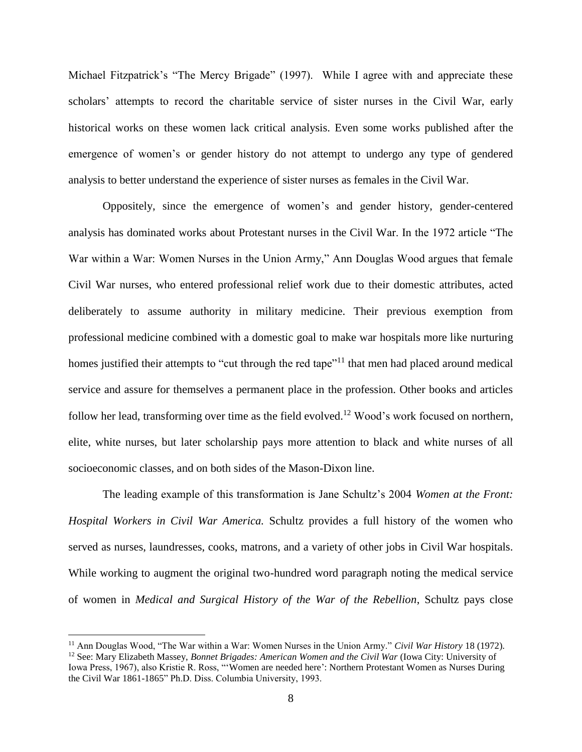Michael Fitzpatrick's "The Mercy Brigade" (1997). While I agree with and appreciate these scholars' attempts to record the charitable service of sister nurses in the Civil War, early historical works on these women lack critical analysis. Even some works published after the emergence of women's or gender history do not attempt to undergo any type of gendered analysis to better understand the experience of sister nurses as females in the Civil War.

Oppositely, since the emergence of women's and gender history, gender-centered analysis has dominated works about Protestant nurses in the Civil War. In the 1972 article "The War within a War: Women Nurses in the Union Army," Ann Douglas Wood argues that female Civil War nurses, who entered professional relief work due to their domestic attributes, acted deliberately to assume authority in military medicine. Their previous exemption from professional medicine combined with a domestic goal to make war hospitals more like nurturing homes justified their attempts to "cut through the red tape"<sup>11</sup> that men had placed around medical service and assure for themselves a permanent place in the profession. Other books and articles follow her lead, transforming over time as the field evolved.<sup>12</sup> Wood's work focused on northern, elite, white nurses, but later scholarship pays more attention to black and white nurses of all socioeconomic classes, and on both sides of the Mason-Dixon line.

The leading example of this transformation is Jane Schultz's 2004 *Women at the Front: Hospital Workers in Civil War America.* Schultz provides a full history of the women who served as nurses, laundresses, cooks, matrons, and a variety of other jobs in Civil War hospitals. While working to augment the original two-hundred word paragraph noting the medical service of women in *Medical and Surgical History of the War of the Rebellion*, Schultz pays close

<sup>11</sup> Ann Douglas Wood, "The War within a War: Women Nurses in the Union Army." *Civil War History* 18 (1972). <sup>12</sup> See: Mary Elizabeth Massey, *Bonnet Brigades: American Women and the Civil War* (Iowa City: University of Iowa Press, 1967), also Kristie R. Ross, "'Women are needed here': Northern Protestant Women as Nurses During the Civil War 1861-1865" Ph.D. Diss. Columbia University, 1993.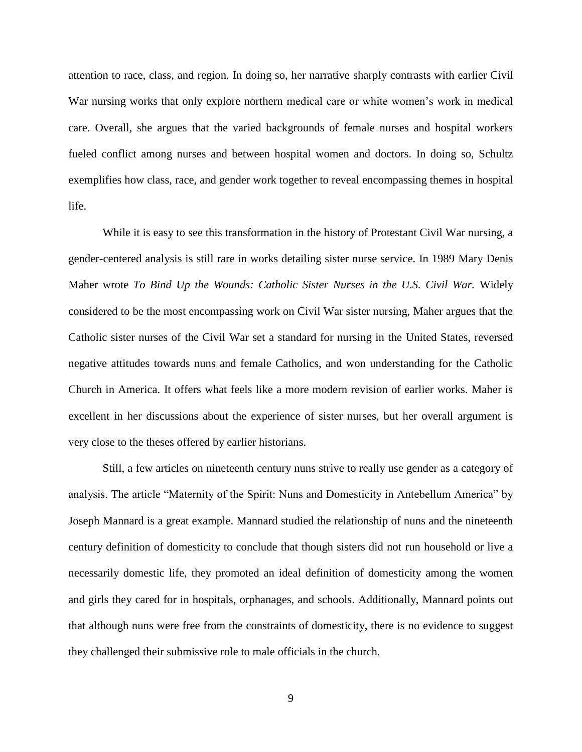attention to race, class, and region. In doing so, her narrative sharply contrasts with earlier Civil War nursing works that only explore northern medical care or white women's work in medical care. Overall, she argues that the varied backgrounds of female nurses and hospital workers fueled conflict among nurses and between hospital women and doctors. In doing so, Schultz exemplifies how class, race, and gender work together to reveal encompassing themes in hospital life.

While it is easy to see this transformation in the history of Protestant Civil War nursing, a gender-centered analysis is still rare in works detailing sister nurse service. In 1989 Mary Denis Maher wrote *To Bind Up the Wounds: Catholic Sister Nurses in the U.S. Civil War.* Widely considered to be the most encompassing work on Civil War sister nursing, Maher argues that the Catholic sister nurses of the Civil War set a standard for nursing in the United States, reversed negative attitudes towards nuns and female Catholics, and won understanding for the Catholic Church in America. It offers what feels like a more modern revision of earlier works. Maher is excellent in her discussions about the experience of sister nurses, but her overall argument is very close to the theses offered by earlier historians.

Still, a few articles on nineteenth century nuns strive to really use gender as a category of analysis. The article "Maternity of the Spirit: Nuns and Domesticity in Antebellum America" by Joseph Mannard is a great example. Mannard studied the relationship of nuns and the nineteenth century definition of domesticity to conclude that though sisters did not run household or live a necessarily domestic life, they promoted an ideal definition of domesticity among the women and girls they cared for in hospitals, orphanages, and schools. Additionally, Mannard points out that although nuns were free from the constraints of domesticity, there is no evidence to suggest they challenged their submissive role to male officials in the church.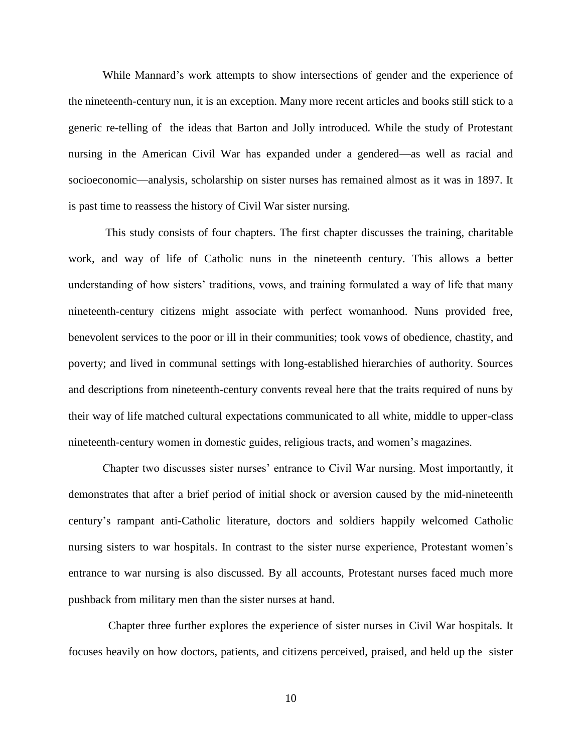While Mannard's work attempts to show intersections of gender and the experience of the nineteenth-century nun, it is an exception. Many more recent articles and books still stick to a generic re-telling of the ideas that Barton and Jolly introduced. While the study of Protestant nursing in the American Civil War has expanded under a gendered—as well as racial and socioeconomic—analysis, scholarship on sister nurses has remained almost as it was in 1897. It is past time to reassess the history of Civil War sister nursing.

This study consists of four chapters. The first chapter discusses the training, charitable work, and way of life of Catholic nuns in the nineteenth century. This allows a better understanding of how sisters' traditions, vows, and training formulated a way of life that many nineteenth-century citizens might associate with perfect womanhood. Nuns provided free, benevolent services to the poor or ill in their communities; took vows of obedience, chastity, and poverty; and lived in communal settings with long-established hierarchies of authority. Sources and descriptions from nineteenth-century convents reveal here that the traits required of nuns by their way of life matched cultural expectations communicated to all white, middle to upper-class nineteenth-century women in domestic guides, religious tracts, and women's magazines.

Chapter two discusses sister nurses' entrance to Civil War nursing. Most importantly, it demonstrates that after a brief period of initial shock or aversion caused by the mid-nineteenth century's rampant anti-Catholic literature, doctors and soldiers happily welcomed Catholic nursing sisters to war hospitals. In contrast to the sister nurse experience, Protestant women's entrance to war nursing is also discussed. By all accounts, Protestant nurses faced much more pushback from military men than the sister nurses at hand.

 Chapter three further explores the experience of sister nurses in Civil War hospitals. It focuses heavily on how doctors, patients, and citizens perceived, praised, and held up the sister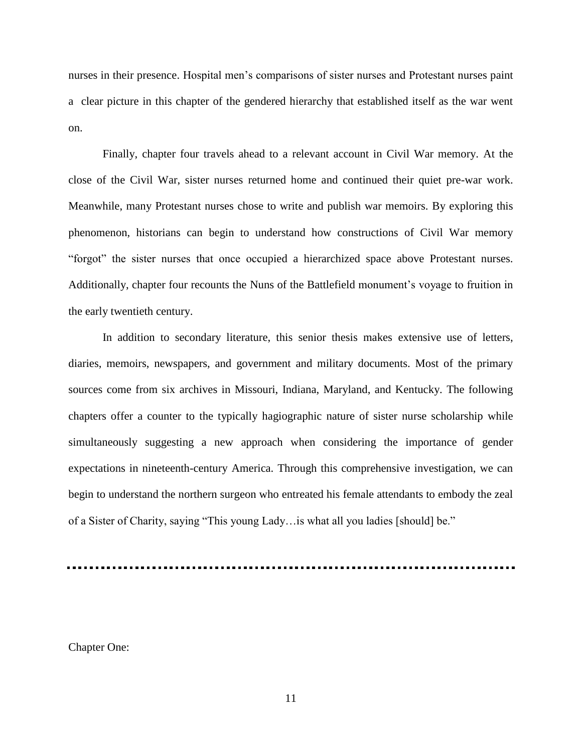nurses in their presence. Hospital men's comparisons of sister nurses and Protestant nurses paint a clear picture in this chapter of the gendered hierarchy that established itself as the war went on.

Finally, chapter four travels ahead to a relevant account in Civil War memory. At the close of the Civil War, sister nurses returned home and continued their quiet pre-war work. Meanwhile, many Protestant nurses chose to write and publish war memoirs. By exploring this phenomenon, historians can begin to understand how constructions of Civil War memory "forgot" the sister nurses that once occupied a hierarchized space above Protestant nurses. Additionally, chapter four recounts the Nuns of the Battlefield monument's voyage to fruition in the early twentieth century.

In addition to secondary literature, this senior thesis makes extensive use of letters, diaries, memoirs, newspapers, and government and military documents. Most of the primary sources come from six archives in Missouri, Indiana, Maryland, and Kentucky. The following chapters offer a counter to the typically hagiographic nature of sister nurse scholarship while simultaneously suggesting a new approach when considering the importance of gender expectations in nineteenth-century America. Through this comprehensive investigation, we can begin to understand the northern surgeon who entreated his female attendants to embody the zeal of a Sister of Charity, saying "This young Lady…is what all you ladies [should] be."

Chapter One: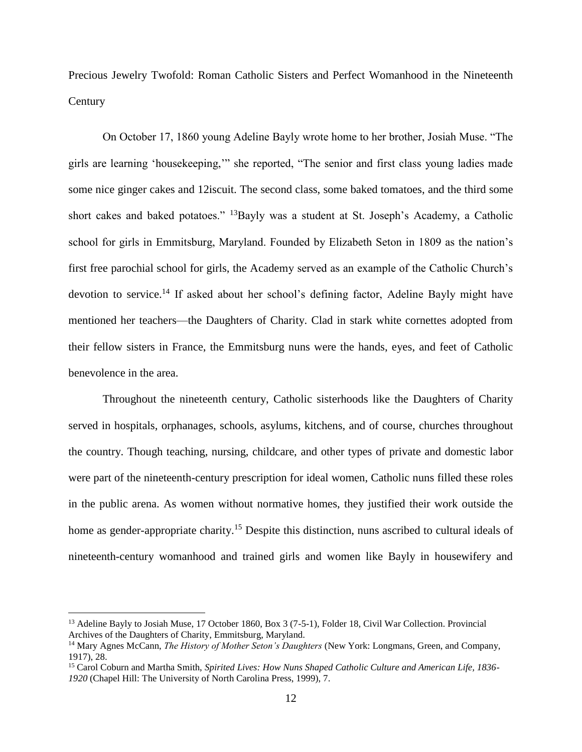Precious Jewelry Twofold: Roman Catholic Sisters and Perfect Womanhood in the Nineteenth **Century** 

On October 17, 1860 young Adeline Bayly wrote home to her brother, Josiah Muse. "The girls are learning 'housekeeping,'" she reported, "The senior and first class young ladies made some nice ginger cakes and 12iscuit. The second class, some baked tomatoes, and the third some short cakes and baked potatoes." <sup>13</sup>Bayly was a student at St. Joseph's Academy, a Catholic school for girls in Emmitsburg, Maryland. Founded by Elizabeth Seton in 1809 as the nation's first free parochial school for girls, the Academy served as an example of the Catholic Church's devotion to service.<sup>14</sup> If asked about her school's defining factor, Adeline Bayly might have mentioned her teachers—the Daughters of Charity. Clad in stark white cornettes adopted from their fellow sisters in France, the Emmitsburg nuns were the hands, eyes, and feet of Catholic benevolence in the area.

Throughout the nineteenth century, Catholic sisterhoods like the Daughters of Charity served in hospitals, orphanages, schools, asylums, kitchens, and of course, churches throughout the country. Though teaching, nursing, childcare, and other types of private and domestic labor were part of the nineteenth-century prescription for ideal women, Catholic nuns filled these roles in the public arena. As women without normative homes, they justified their work outside the home as gender-appropriate charity.<sup>15</sup> Despite this distinction, nuns ascribed to cultural ideals of nineteenth-century womanhood and trained girls and women like Bayly in housewifery and

<sup>&</sup>lt;sup>13</sup> Adeline Bayly to Josiah Muse, 17 October 1860, Box 3 (7-5-1), Folder 18, Civil War Collection. Provincial Archives of the Daughters of Charity, Emmitsburg, Maryland.

<sup>14</sup> Mary Agnes McCann, *The History of Mother Seton's Daughters* (New York: Longmans, Green, and Company, 1917), 28.

<sup>15</sup> Carol Coburn and Martha Smith, *Spirited Lives: How Nuns Shaped Catholic Culture and American Life, 1836- 1920* (Chapel Hill: The University of North Carolina Press, 1999), 7.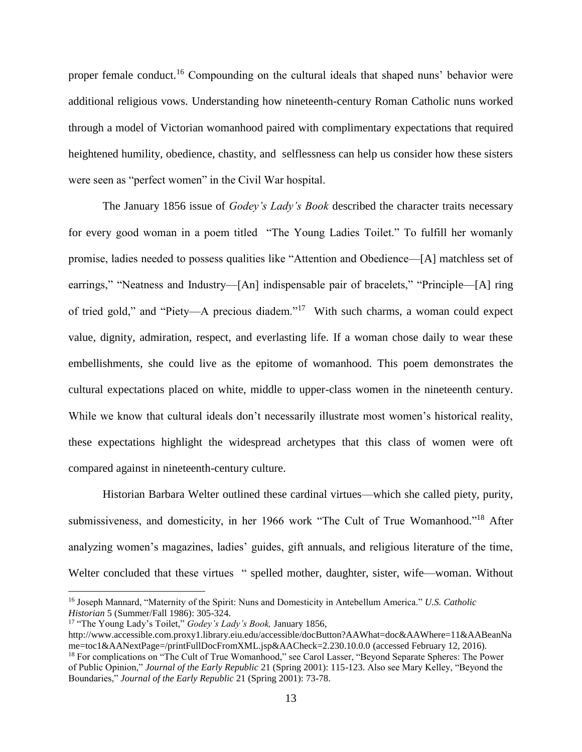proper female conduct.<sup>16</sup> Compounding on the cultural ideals that shaped nuns' behavior were additional religious vows. Understanding how nineteenth-century Roman Catholic nuns worked through a model of Victorian womanhood paired with complimentary expectations that required heightened humility, obedience, chastity, and selflessness can help us consider how these sisters were seen as "perfect women" in the Civil War hospital.

The January 1856 issue of *Godey's Lady's Book* described the character traits necessary for every good woman in a poem titled "The Young Ladies Toilet." To fulfill her womanly promise, ladies needed to possess qualities like "Attention and Obedience—[A] matchless set of earrings," "Neatness and Industry—[An] indispensable pair of bracelets," "Principle—[A] ring of tried gold," and "Piety—A precious diadem."<sup>17</sup> With such charms, a woman could expect value, dignity, admiration, respect, and everlasting life. If a woman chose daily to wear these embellishments, she could live as the epitome of womanhood. This poem demonstrates the cultural expectations placed on white, middle to upper-class women in the nineteenth century. While we know that cultural ideals don't necessarily illustrate most women's historical reality, these expectations highlight the widespread archetypes that this class of women were oft compared against in nineteenth-century culture.

Historian Barbara Welter outlined these cardinal virtues—which she called piety, purity, submissiveness, and domesticity, in her 1966 work "The Cult of True Womanhood."<sup>18</sup> After analyzing women's magazines, ladies' guides, gift annuals, and religious literature of the time, Welter concluded that these virtues " spelled mother, daughter, sister, wife—woman. Without

<sup>16</sup> Joseph Mannard, "Maternity of the Spirit: Nuns and Domesticity in Antebellum America." *U.S. Catholic Historian* 5 (Summer/Fall 1986): 305-324.

<sup>17</sup> "The Young Lady's Toilet," *Godey's Lady's Book,* January 1856,

http://www.accessible.com.proxy1.library.eiu.edu/accessible/docButton?AAWhat=doc&AAWhere=11&AABeanNa me=toc1&AANextPage=/printFullDocFromXML.jsp&AACheck=2.230.10.0.0 (accessed February 12, 2016).

<sup>&</sup>lt;sup>18</sup> For complications on "The Cult of True Womanhood," see Carol Lasser, "Beyond Separate Spheres: The Power of Public Opinion," *Journal of the Early Republic* 21 (Spring 2001): 115-123. Also see Mary Kelley, "Beyond the Boundaries," *Journal of the Early Republic* 21 (Spring 2001): 73-78.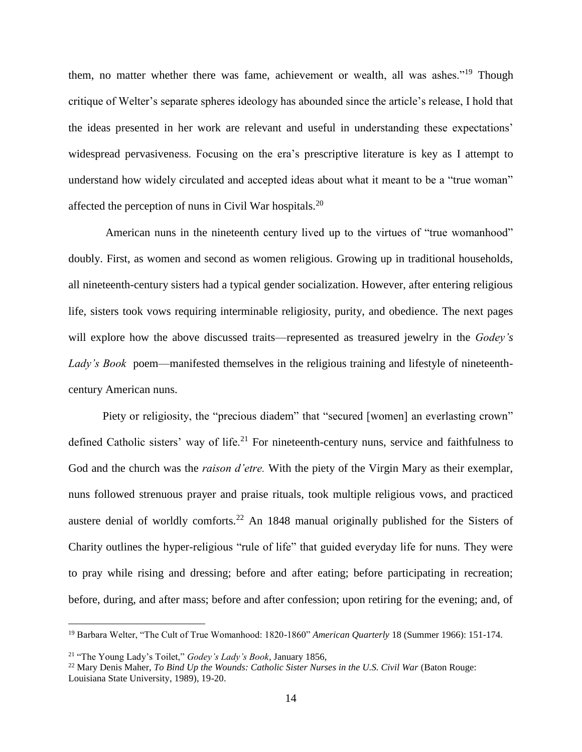them, no matter whether there was fame, achievement or wealth, all was ashes."<sup>19</sup> Though critique of Welter's separate spheres ideology has abounded since the article's release, I hold that the ideas presented in her work are relevant and useful in understanding these expectations' widespread pervasiveness. Focusing on the era's prescriptive literature is key as I attempt to understand how widely circulated and accepted ideas about what it meant to be a "true woman" affected the perception of nuns in Civil War hospitals.<sup>20</sup>

American nuns in the nineteenth century lived up to the virtues of "true womanhood" doubly. First, as women and second as women religious. Growing up in traditional households, all nineteenth-century sisters had a typical gender socialization. However, after entering religious life, sisters took vows requiring interminable religiosity, purity, and obedience. The next pages will explore how the above discussed traits—represented as treasured jewelry in the *Godey's Lady's Book* poem—manifested themselves in the religious training and lifestyle of nineteenthcentury American nuns.

Piety or religiosity, the "precious diadem" that "secured [women] an everlasting crown" defined Catholic sisters' way of life.<sup>21</sup> For nineteenth-century nuns, service and faithfulness to God and the church was the *raison d'etre.* With the piety of the Virgin Mary as their exemplar, nuns followed strenuous prayer and praise rituals, took multiple religious vows, and practiced austere denial of worldly comforts.<sup>22</sup> An 1848 manual originally published for the Sisters of Charity outlines the hyper-religious "rule of life" that guided everyday life for nuns. They were to pray while rising and dressing; before and after eating; before participating in recreation; before, during, and after mass; before and after confession; upon retiring for the evening; and, of

<sup>19</sup> Barbara Welter, "The Cult of True Womanhood: 1820-1860" *American Quarterly* 18 (Summer 1966): 151-174.

<sup>21</sup> "The Young Lady's Toilet," *Godey's Lady's Book,* January 1856,

<sup>22</sup> Mary Denis Maher, *To Bind Up the Wounds: Catholic Sister Nurses in the U.S. Civil War* (Baton Rouge: Louisiana State University, 1989), 19-20.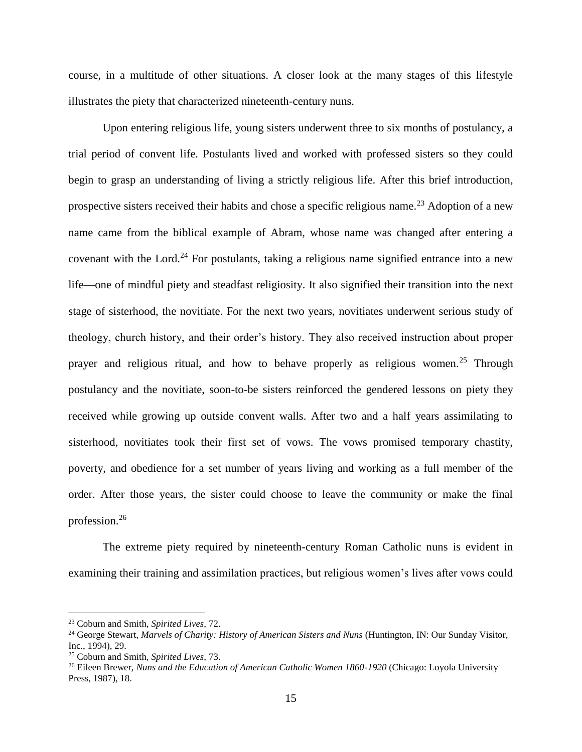course, in a multitude of other situations. A closer look at the many stages of this lifestyle illustrates the piety that characterized nineteenth-century nuns.

Upon entering religious life, young sisters underwent three to six months of postulancy, a trial period of convent life. Postulants lived and worked with professed sisters so they could begin to grasp an understanding of living a strictly religious life. After this brief introduction, prospective sisters received their habits and chose a specific religious name.<sup>23</sup> Adoption of a new name came from the biblical example of Abram, whose name was changed after entering a covenant with the Lord.<sup>24</sup> For postulants, taking a religious name signified entrance into a new life—one of mindful piety and steadfast religiosity. It also signified their transition into the next stage of sisterhood, the novitiate. For the next two years, novitiates underwent serious study of theology, church history, and their order's history. They also received instruction about proper prayer and religious ritual, and how to behave properly as religious women.<sup>25</sup> Through postulancy and the novitiate, soon-to-be sisters reinforced the gendered lessons on piety they received while growing up outside convent walls. After two and a half years assimilating to sisterhood, novitiates took their first set of vows. The vows promised temporary chastity, poverty, and obedience for a set number of years living and working as a full member of the order. After those years, the sister could choose to leave the community or make the final profession.<sup>26</sup>

The extreme piety required by nineteenth-century Roman Catholic nuns is evident in examining their training and assimilation practices, but religious women's lives after vows could

<sup>23</sup> Coburn and Smith, *Spirited Lives,* 72.

<sup>24</sup> George Stewart, *Marvels of Charity: History of American Sisters and Nuns* (Huntington, IN: Our Sunday Visitor, Inc., 1994), 29.

<sup>25</sup> Coburn and Smith, *Spirited Lives,* 73.

<sup>&</sup>lt;sup>26</sup> Eileen Brewer, *Nuns and the Education of American Catholic Women 1860-1920* (Chicago: Loyola University Press, 1987), 18.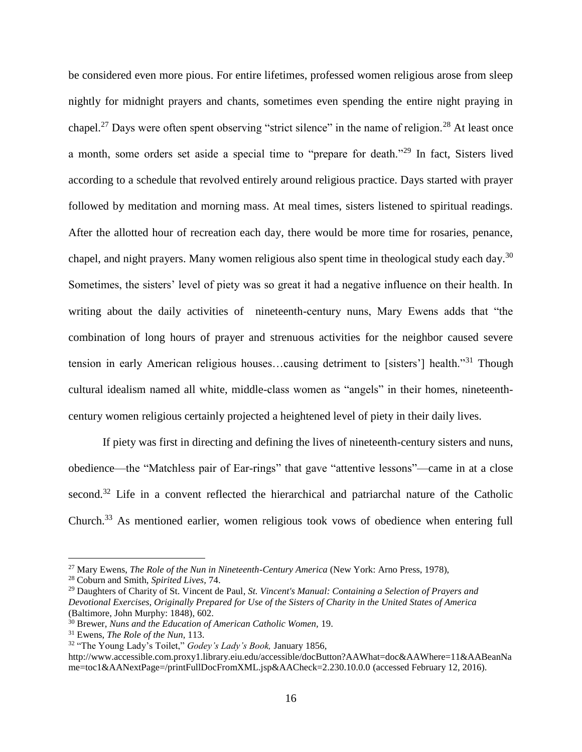be considered even more pious. For entire lifetimes, professed women religious arose from sleep nightly for midnight prayers and chants, sometimes even spending the entire night praying in chapel.<sup>27</sup> Days were often spent observing "strict silence" in the name of religion.<sup>28</sup> At least once a month, some orders set aside a special time to "prepare for death."<sup>29</sup> In fact, Sisters lived according to a schedule that revolved entirely around religious practice. Days started with prayer followed by meditation and morning mass. At meal times, sisters listened to spiritual readings. After the allotted hour of recreation each day, there would be more time for rosaries, penance, chapel, and night prayers. Many women religious also spent time in theological study each day.<sup>30</sup> Sometimes, the sisters' level of piety was so great it had a negative influence on their health. In writing about the daily activities of nineteenth-century nuns, Mary Ewens adds that "the combination of long hours of prayer and strenuous activities for the neighbor caused severe tension in early American religious houses…causing detriment to [sisters'] health."<sup>31</sup> Though cultural idealism named all white, middle-class women as "angels" in their homes, nineteenthcentury women religious certainly projected a heightened level of piety in their daily lives.

If piety was first in directing and defining the lives of nineteenth-century sisters and nuns, obedience—the "Matchless pair of Ear-rings" that gave "attentive lessons"—came in at a close second.<sup>32</sup> Life in a convent reflected the hierarchical and patriarchal nature of the Catholic Church.<sup>33</sup> As mentioned earlier, women religious took vows of obedience when entering full

<sup>27</sup> Mary Ewens, *The Role of the Nun in Nineteenth-Century America* (New York: Arno Press, 1978),

<sup>28</sup> Coburn and Smith, *Spirited Lives,* 74.

<sup>29</sup> Daughters of Charity of St. Vincent de Paul, *St. Vincent's Manual: Containing a Selection of Prayers and Devotional Exercises, Originally Prepared for Use of the Sisters of Charity in the United States of America* (Baltimore, John Murphy: 1848), 602.

<sup>30</sup> Brewer, *Nuns and the Education of American Catholic Women,* 19.

<sup>31</sup> Ewens, *The Role of the Nun,* 113.

<sup>32</sup> "The Young Lady's Toilet," *Godey's Lady's Book,* January 1856,

http://www.accessible.com.proxy1.library.eiu.edu/accessible/docButton?AAWhat=doc&AAWhere=11&AABeanNa me=toc1&AANextPage=/printFullDocFromXML.jsp&AACheck=2.230.10.0.0 (accessed February 12, 2016).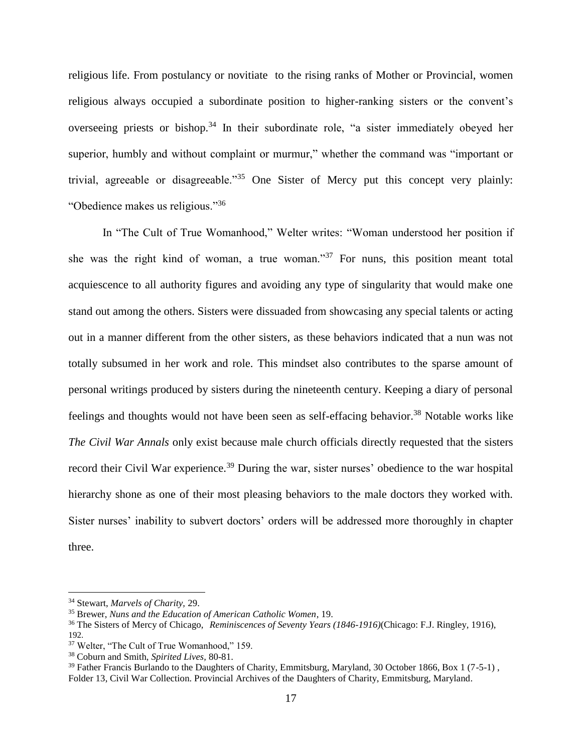religious life. From postulancy or novitiate to the rising ranks of Mother or Provincial, women religious always occupied a subordinate position to higher-ranking sisters or the convent's overseeing priests or bishop.<sup>34</sup> In their subordinate role, "a sister immediately obeyed her superior, humbly and without complaint or murmur," whether the command was "important or trivial, agreeable or disagreeable."<sup>35</sup> One Sister of Mercy put this concept very plainly: "Obedience makes us religious."<sup>36</sup>

In "The Cult of True Womanhood," Welter writes: "Woman understood her position if she was the right kind of woman, a true woman."<sup>37</sup> For nuns, this position meant total acquiescence to all authority figures and avoiding any type of singularity that would make one stand out among the others. Sisters were dissuaded from showcasing any special talents or acting out in a manner different from the other sisters, as these behaviors indicated that a nun was not totally subsumed in her work and role. This mindset also contributes to the sparse amount of personal writings produced by sisters during the nineteenth century. Keeping a diary of personal feelings and thoughts would not have been seen as self-effacing behavior.<sup>38</sup> Notable works like *The Civil War Annals* only exist because male church officials directly requested that the sisters record their Civil War experience.<sup>39</sup> During the war, sister nurses' obedience to the war hospital hierarchy shone as one of their most pleasing behaviors to the male doctors they worked with. Sister nurses' inability to subvert doctors' orders will be addressed more thoroughly in chapter three.

<sup>34</sup> Stewart, *Marvels of Charity,* 29.

<sup>35</sup> Brewer, *Nuns and the Education of American Catholic Women*, 19.

<sup>36</sup> The Sisters of Mercy of Chicago, *Reminiscences of Seventy Years (1846-1916)*(Chicago: F.J. Ringley, 1916), 192.

<sup>37</sup> Welter, "The Cult of True Womanhood," 159.

<sup>38</sup> Coburn and Smith, *Spirited Lives,* 80-81.

<sup>&</sup>lt;sup>39</sup> Father Francis Burlando to the Daughters of Charity, Emmitsburg, Maryland, 30 October 1866, Box 1 (7-5-1). Folder 13, Civil War Collection. Provincial Archives of the Daughters of Charity, Emmitsburg, Maryland.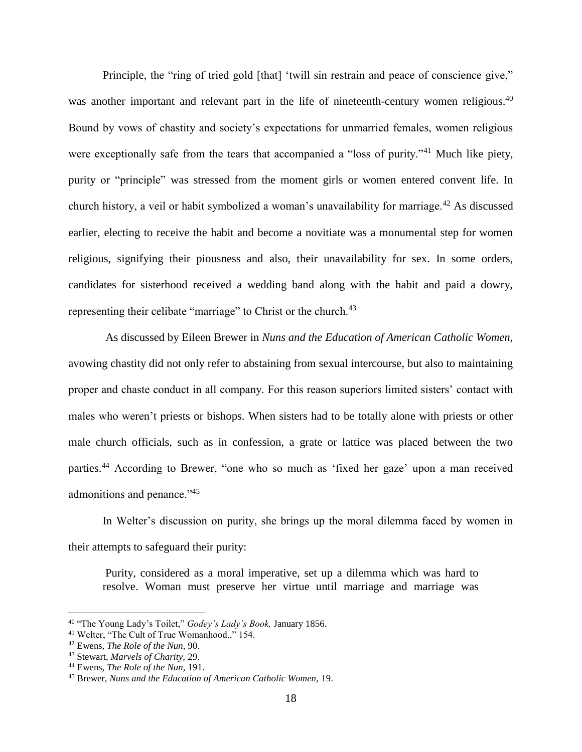Principle, the "ring of tried gold [that] 'twill sin restrain and peace of conscience give," was another important and relevant part in the life of nineteenth-century women religious.<sup>40</sup> Bound by vows of chastity and society's expectations for unmarried females, women religious were exceptionally safe from the tears that accompanied a "loss of purity."<sup>41</sup> Much like piety, purity or "principle" was stressed from the moment girls or women entered convent life. In church history, a veil or habit symbolized a woman's unavailability for marriage.<sup>42</sup> As discussed earlier, electing to receive the habit and become a novitiate was a monumental step for women religious, signifying their piousness and also, their unavailability for sex. In some orders, candidates for sisterhood received a wedding band along with the habit and paid a dowry, representing their celibate "marriage" to Christ or the church.<sup>43</sup>

As discussed by Eileen Brewer in *Nuns and the Education of American Catholic Women,*  avowing chastity did not only refer to abstaining from sexual intercourse, but also to maintaining proper and chaste conduct in all company. For this reason superiors limited sisters' contact with males who weren't priests or bishops. When sisters had to be totally alone with priests or other male church officials, such as in confession, a grate or lattice was placed between the two parties.<sup>44</sup> According to Brewer, "one who so much as 'fixed her gaze' upon a man received admonitions and penance."<sup>45</sup>

In Welter's discussion on purity, she brings up the moral dilemma faced by women in their attempts to safeguard their purity:

Purity, considered as a moral imperative, set up a dilemma which was hard to resolve. Woman must preserve her virtue until marriage and marriage was

<sup>40</sup> "The Young Lady's Toilet," *Godey's Lady's Book,* January 1856.

<sup>41</sup> Welter, "The Cult of True Womanhood.," 154.

<sup>42</sup> Ewens, *The Role of the Nun,* 90.

<sup>43</sup> Stewart, *Marvels of Charity,* 29.

<sup>44</sup> Ewens, *The Role of the Nun,* 191.

<sup>45</sup> Brewer, *Nuns and the Education of American Catholic Women,* 19.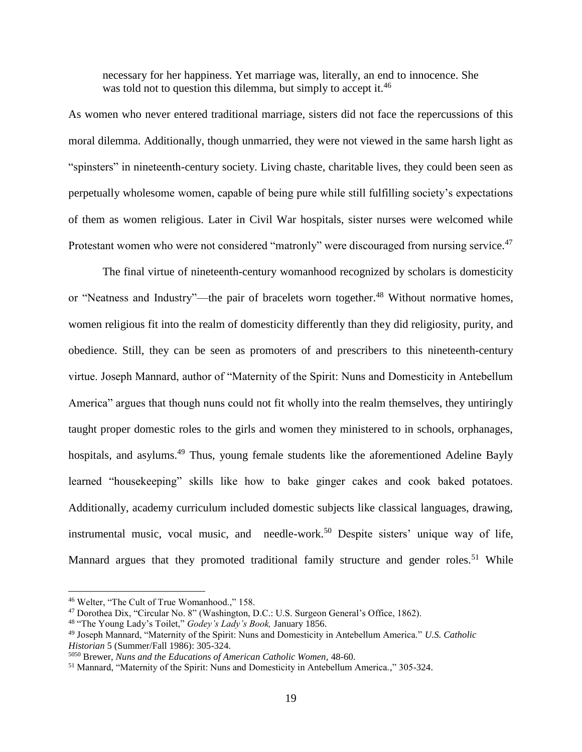necessary for her happiness. Yet marriage was, literally, an end to innocence. She was told not to question this dilemma, but simply to accept it.<sup>46</sup>

As women who never entered traditional marriage, sisters did not face the repercussions of this moral dilemma. Additionally, though unmarried, they were not viewed in the same harsh light as "spinsters" in nineteenth-century society. Living chaste, charitable lives, they could been seen as perpetually wholesome women, capable of being pure while still fulfilling society's expectations of them as women religious. Later in Civil War hospitals, sister nurses were welcomed while Protestant women who were not considered "matronly" were discouraged from nursing service.<sup>47</sup>

The final virtue of nineteenth-century womanhood recognized by scholars is domesticity or "Neatness and Industry"—the pair of bracelets worn together.<sup>48</sup> Without normative homes, women religious fit into the realm of domesticity differently than they did religiosity, purity, and obedience. Still, they can be seen as promoters of and prescribers to this nineteenth-century virtue. Joseph Mannard, author of "Maternity of the Spirit: Nuns and Domesticity in Antebellum America" argues that though nuns could not fit wholly into the realm themselves, they untiringly taught proper domestic roles to the girls and women they ministered to in schools, orphanages, hospitals, and asylums.<sup>49</sup> Thus, young female students like the aforementioned Adeline Bayly learned "housekeeping" skills like how to bake ginger cakes and cook baked potatoes. Additionally, academy curriculum included domestic subjects like classical languages, drawing, instrumental music, vocal music, and needle-work.<sup>50</sup> Despite sisters' unique way of life, Mannard argues that they promoted traditional family structure and gender roles.<sup>51</sup> While

<sup>46</sup> Welter, "The Cult of True Womanhood.," 158.

<sup>47</sup> Dorothea Dix, "Circular No. 8" (Washington, D.C.: U.S. Surgeon General's Office, 1862).

<sup>48</sup> "The Young Lady's Toilet," *Godey's Lady's Book,* January 1856.

<sup>49</sup> Joseph Mannard, "Maternity of the Spirit: Nuns and Domesticity in Antebellum America." *U.S. Catholic Historian* 5 (Summer/Fall 1986): 305-324.

<sup>5050</sup> Brewer, *Nuns and the Educations of American Catholic Women,* 48-60.

<sup>51</sup> Mannard, "Maternity of the Spirit: Nuns and Domesticity in Antebellum America.," 305-324.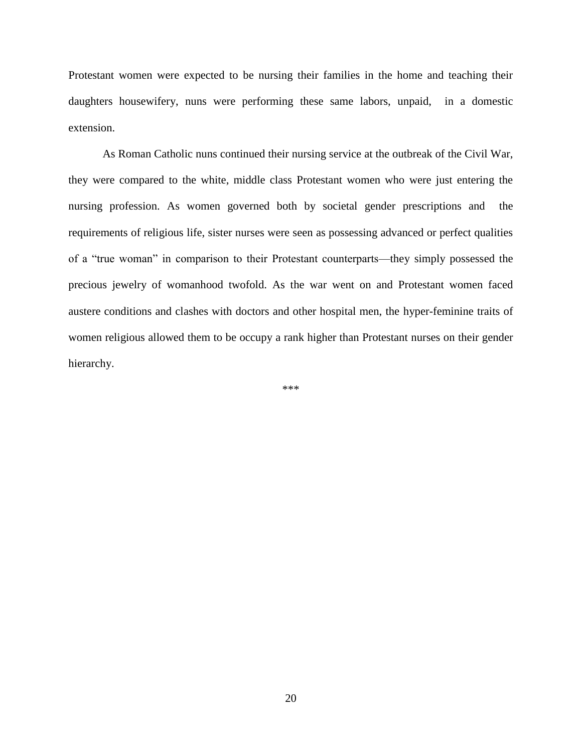Protestant women were expected to be nursing their families in the home and teaching their daughters housewifery, nuns were performing these same labors, unpaid, in a domestic extension.

As Roman Catholic nuns continued their nursing service at the outbreak of the Civil War, they were compared to the white, middle class Protestant women who were just entering the nursing profession. As women governed both by societal gender prescriptions and the requirements of religious life, sister nurses were seen as possessing advanced or perfect qualities of a "true woman" in comparison to their Protestant counterparts—they simply possessed the precious jewelry of womanhood twofold. As the war went on and Protestant women faced austere conditions and clashes with doctors and other hospital men, the hyper-feminine traits of women religious allowed them to be occupy a rank higher than Protestant nurses on their gender hierarchy.

\*\*\*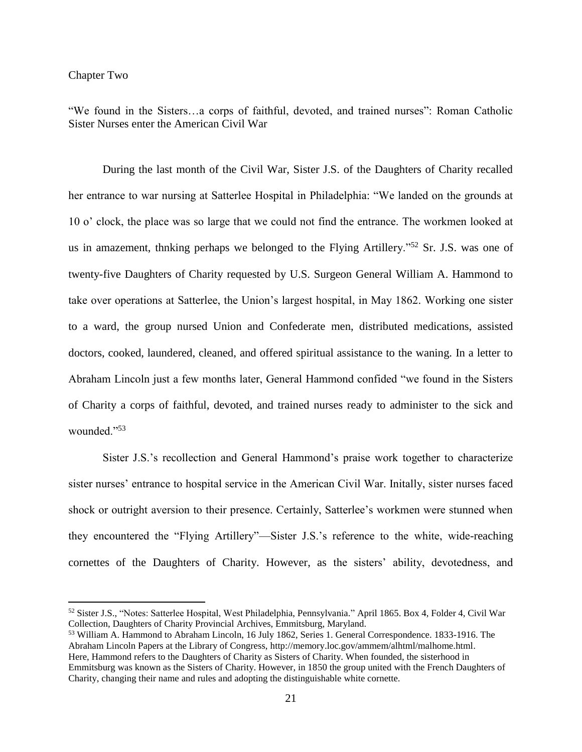### Chapter Two

 $\overline{a}$ 

"We found in the Sisters…a corps of faithful, devoted, and trained nurses": Roman Catholic Sister Nurses enter the American Civil War

During the last month of the Civil War, Sister J.S. of the Daughters of Charity recalled her entrance to war nursing at Satterlee Hospital in Philadelphia: "We landed on the grounds at 10 o' clock, the place was so large that we could not find the entrance. The workmen looked at us in amazement, thnking perhaps we belonged to the Flying Artillery."<sup>52</sup> Sr. J.S. was one of twenty-five Daughters of Charity requested by U.S. Surgeon General William A. Hammond to take over operations at Satterlee, the Union's largest hospital, in May 1862. Working one sister to a ward, the group nursed Union and Confederate men, distributed medications, assisted doctors, cooked, laundered, cleaned, and offered spiritual assistance to the waning. In a letter to Abraham Lincoln just a few months later, General Hammond confided "we found in the Sisters of Charity a corps of faithful, devoted, and trained nurses ready to administer to the sick and wounded."<sup>53</sup>

Sister J.S.'s recollection and General Hammond's praise work together to characterize sister nurses' entrance to hospital service in the American Civil War. Initally, sister nurses faced shock or outright aversion to their presence. Certainly, Satterlee's workmen were stunned when they encountered the "Flying Artillery"—Sister J.S.'s reference to the white, wide-reaching cornettes of the Daughters of Charity. However, as the sisters' ability, devotedness, and

<sup>52</sup> Sister J.S., "Notes: Satterlee Hospital, West Philadelphia, Pennsylvania." April 1865. Box 4, Folder 4, Civil War Collection, Daughters of Charity Provincial Archives, Emmitsburg, Maryland.

<sup>53</sup> William A. Hammond to Abraham Lincoln, 16 July 1862, Series 1. General Correspondence. 1833-1916. The Abraham Lincoln Papers at the Library of Congress, http://memory.loc.gov/ammem/alhtml/malhome.html. Here, Hammond refers to the Daughters of Charity as Sisters of Charity. When founded, the sisterhood in Emmitsburg was known as the Sisters of Charity. However, in 1850 the group united with the French Daughters of Charity, changing their name and rules and adopting the distinguishable white cornette.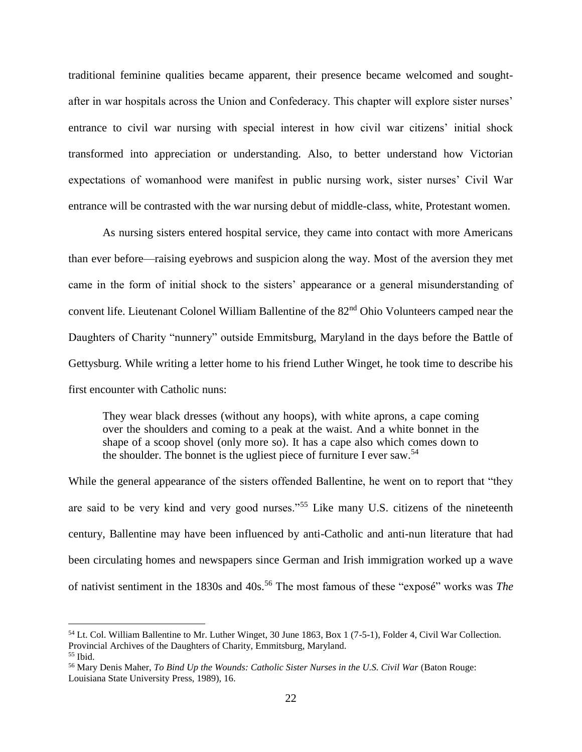traditional feminine qualities became apparent, their presence became welcomed and soughtafter in war hospitals across the Union and Confederacy. This chapter will explore sister nurses' entrance to civil war nursing with special interest in how civil war citizens' initial shock transformed into appreciation or understanding. Also, to better understand how Victorian expectations of womanhood were manifest in public nursing work, sister nurses' Civil War entrance will be contrasted with the war nursing debut of middle-class, white, Protestant women.

As nursing sisters entered hospital service, they came into contact with more Americans than ever before—raising eyebrows and suspicion along the way. Most of the aversion they met came in the form of initial shock to the sisters' appearance or a general misunderstanding of convent life. Lieutenant Colonel William Ballentine of the 82<sup>nd</sup> Ohio Volunteers camped near the Daughters of Charity "nunnery" outside Emmitsburg, Maryland in the days before the Battle of Gettysburg. While writing a letter home to his friend Luther Winget, he took time to describe his first encounter with Catholic nuns:

They wear black dresses (without any hoops), with white aprons, a cape coming over the shoulders and coming to a peak at the waist. And a white bonnet in the shape of a scoop shovel (only more so). It has a cape also which comes down to the shoulder. The bonnet is the ugliest piece of furniture I ever saw.<sup>54</sup>

While the general appearance of the sisters offended Ballentine, he went on to report that "they are said to be very kind and very good nurses."<sup>55</sup> Like many U.S. citizens of the nineteenth century, Ballentine may have been influenced by anti-Catholic and anti-nun literature that had been circulating homes and newspapers since German and Irish immigration worked up a wave of nativist sentiment in the 1830s and 40s.<sup>56</sup> The most famous of these "exposé" works was *The* 

<sup>54</sup> Lt. Col. William Ballentine to Mr. Luther Winget, 30 June 1863, Box 1 (7-5-1), Folder 4, Civil War Collection. Provincial Archives of the Daughters of Charity, Emmitsburg, Maryland.  $55$  Ibid.

<sup>&</sup>lt;sup>56</sup> Mary Denis Maher, *To Bind Up the Wounds: Catholic Sister Nurses in the U.S. Civil War (Baton Rouge:* Louisiana State University Press, 1989), 16.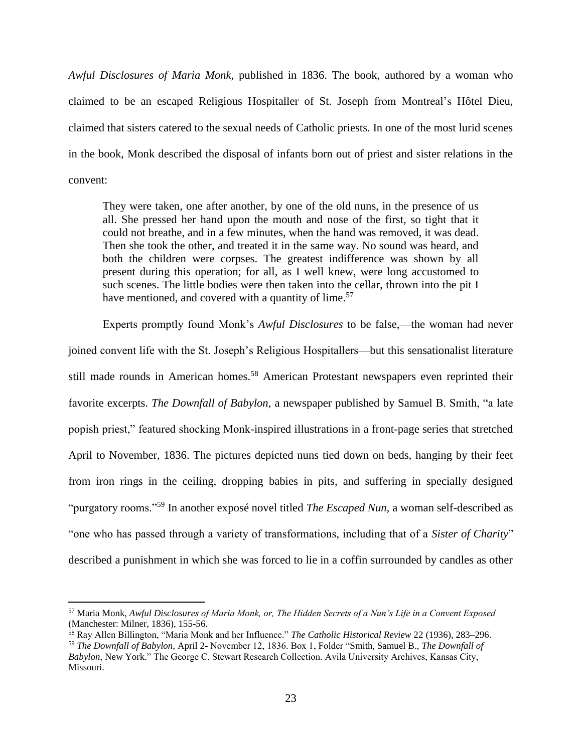*Awful Disclosures of Maria Monk,* published in 1836. The book, authored by a woman who claimed to be an escaped Religious Hospitaller of St. Joseph from Montreal's Hôtel Dieu, claimed that sisters catered to the sexual needs of Catholic priests. In one of the most lurid scenes in the book, Monk described the disposal of infants born out of priest and sister relations in the convent:

They were taken, one after another, by one of the old nuns, in the presence of us all. She pressed her hand upon the mouth and nose of the first, so tight that it could not breathe, and in a few minutes, when the hand was removed, it was dead. Then she took the other, and treated it in the same way. No sound was heard, and both the children were corpses. The greatest indifference was shown by all present during this operation; for all, as I well knew, were long accustomed to such scenes. The little bodies were then taken into the cellar, thrown into the pit I have mentioned, and covered with a quantity of lime.<sup>57</sup>

Experts promptly found Monk's *Awful Disclosures* to be false,—the woman had never joined convent life with the St. Joseph's Religious Hospitallers—but this sensationalist literature still made rounds in American homes.<sup>58</sup> American Protestant newspapers even reprinted their favorite excerpts. *The Downfall of Babylon,* a newspaper published by Samuel B. Smith, "a late popish priest," featured shocking Monk-inspired illustrations in a front-page series that stretched April to November, 1836. The pictures depicted nuns tied down on beds, hanging by their feet from iron rings in the ceiling, dropping babies in pits, and suffering in specially designed "purgatory rooms."<sup>59</sup> In another exposé novel titled *The Escaped Nun,* a woman self-described as "one who has passed through a variety of transformations, including that of a *Sister of Charity*" described a punishment in which she was forced to lie in a coffin surrounded by candles as other

<sup>57</sup> Maria Monk, *Awful Disclosures of Maria Monk, or, The Hidden Secrets of a Nun's Life in a Convent Exposed* (Manchester: Milner, 1836), 155-56.

<sup>58</sup> Ray Allen Billington, "Maria Monk and her Influence." *The Catholic Historical Review* 22 (1936), 283–296. <sup>59</sup> *The Downfall of Babylon,* April 2- November 12, 1836. Box 1, Folder "Smith, Samuel B., *The Downfall of Babylon,* New York." The George C. Stewart Research Collection. Avila University Archives, Kansas City, Missouri.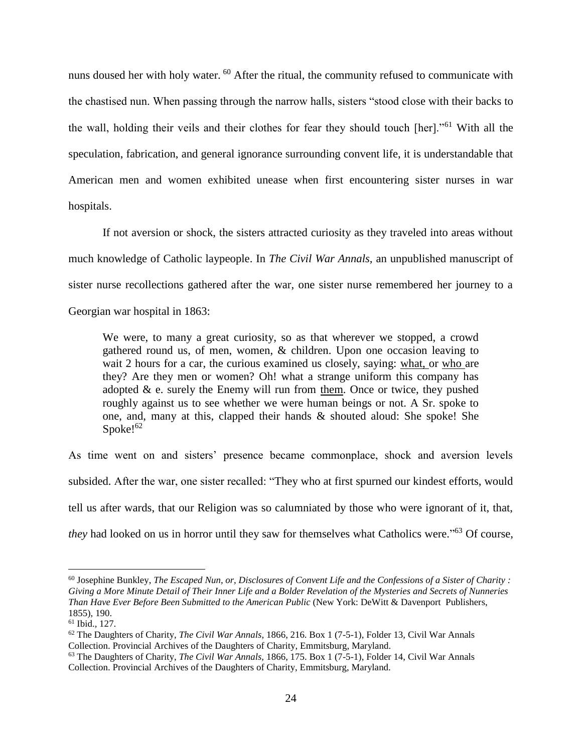nuns doused her with holy water. <sup>60</sup> After the ritual, the community refused to communicate with the chastised nun. When passing through the narrow halls, sisters "stood close with their backs to the wall, holding their veils and their clothes for fear they should touch [her]."<sup>61</sup> With all the speculation, fabrication, and general ignorance surrounding convent life, it is understandable that American men and women exhibited unease when first encountering sister nurses in war hospitals.

If not aversion or shock, the sisters attracted curiosity as they traveled into areas without much knowledge of Catholic laypeople. In *The Civil War Annals,* an unpublished manuscript of sister nurse recollections gathered after the war, one sister nurse remembered her journey to a Georgian war hospital in 1863:

We were, to many a great curiosity, so as that wherever we stopped, a crowd gathered round us, of men, women, & children. Upon one occasion leaving to wait 2 hours for a car, the curious examined us closely, saying: what, or who are they? Are they men or women? Oh! what a strange uniform this company has adopted  $\&$  e. surely the Enemy will run from them. Once or twice, they pushed roughly against us to see whether we were human beings or not. A Sr. spoke to one, and, many at this, clapped their hands & shouted aloud: She spoke! She Spoke! $62$ 

As time went on and sisters' presence became commonplace, shock and aversion levels subsided. After the war, one sister recalled: "They who at first spurned our kindest efforts, would tell us after wards, that our Religion was so calumniated by those who were ignorant of it, that, *they* had looked on us in horror until they saw for themselves what Catholics were." <sup>63</sup> Of course,

 $60$  Josephine Bunkley, *The Escaped Nun, or, Disclosures of Convent Life and the Confessions of a Sister of Charity*: *Giving a More Minute Detail of Their Inner Life and a Bolder Revelation of the Mysteries and Secrets of Nunneries Than Have Ever Before Been Submitted to the American Public* (New York: DeWitt & Davenport Publishers, 1855), 190.

<sup>61</sup> Ibid., 127.

<sup>62</sup> The Daughters of Charity, *The Civil War Annals*, 1866, 216. Box 1 (7-5-1), Folder 13, Civil War Annals Collection. Provincial Archives of the Daughters of Charity, Emmitsburg, Maryland.

<sup>63</sup> The Daughters of Charity, *The Civil War Annals,* 1866, 175. Box 1 (7-5-1), Folder 14, Civil War Annals Collection. Provincial Archives of the Daughters of Charity, Emmitsburg, Maryland.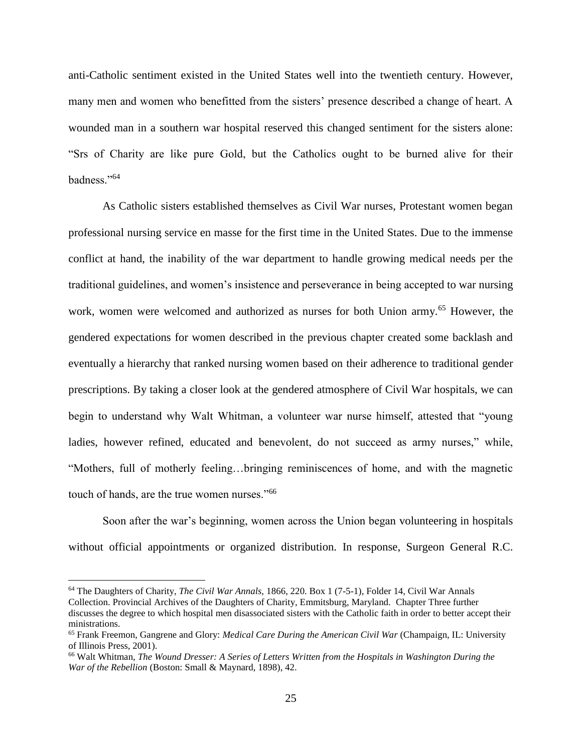anti-Catholic sentiment existed in the United States well into the twentieth century. However, many men and women who benefitted from the sisters' presence described a change of heart. A wounded man in a southern war hospital reserved this changed sentiment for the sisters alone: "Srs of Charity are like pure Gold, but the Catholics ought to be burned alive for their badness."<sup>64</sup>

As Catholic sisters established themselves as Civil War nurses, Protestant women began professional nursing service en masse for the first time in the United States. Due to the immense conflict at hand, the inability of the war department to handle growing medical needs per the traditional guidelines, and women's insistence and perseverance in being accepted to war nursing work, women were welcomed and authorized as nurses for both Union army.<sup>65</sup> However, the gendered expectations for women described in the previous chapter created some backlash and eventually a hierarchy that ranked nursing women based on their adherence to traditional gender prescriptions. By taking a closer look at the gendered atmosphere of Civil War hospitals, we can begin to understand why Walt Whitman, a volunteer war nurse himself, attested that "young ladies, however refined, educated and benevolent, do not succeed as army nurses," while, "Mothers, full of motherly feeling…bringing reminiscences of home, and with the magnetic touch of hands, are the true women nurses."<sup>66</sup>

Soon after the war's beginning, women across the Union began volunteering in hospitals without official appointments or organized distribution. In response, Surgeon General R.C.

<sup>64</sup> The Daughters of Charity, *The Civil War Annals,* 1866, 220. Box 1 (7-5-1), Folder 14, Civil War Annals Collection. Provincial Archives of the Daughters of Charity, Emmitsburg, Maryland. Chapter Three further discusses the degree to which hospital men disassociated sisters with the Catholic faith in order to better accept their ministrations.

<sup>65</sup> Frank Freemon, Gangrene and Glory: *Medical Care During the American Civil War* (Champaign, IL: University of Illinois Press, 2001).

<sup>66</sup> Walt Whitman, *The Wound Dresser: A Series of Letters Written from the Hospitals in Washington During the War of the Rebellion* (Boston: Small & Maynard, 1898), 42.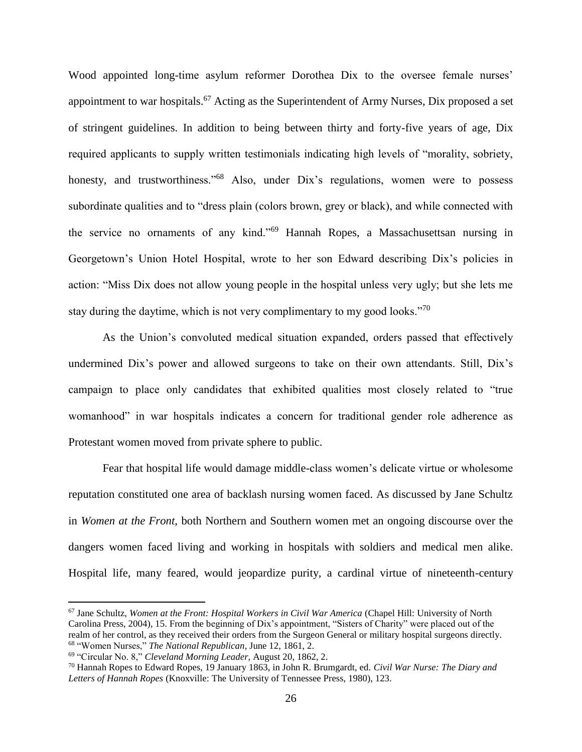Wood appointed long-time asylum reformer Dorothea Dix to the oversee female nurses' appointment to war hospitals.<sup>67</sup> Acting as the Superintendent of Army Nurses, Dix proposed a set of stringent guidelines. In addition to being between thirty and forty-five years of age, Dix required applicants to supply written testimonials indicating high levels of "morality, sobriety, honesty, and trustworthiness.<sup>"68</sup> Also, under Dix's regulations, women were to possess subordinate qualities and to "dress plain (colors brown, grey or black), and while connected with the service no ornaments of any kind."<sup>69</sup> Hannah Ropes, a Massachusettsan nursing in Georgetown's Union Hotel Hospital, wrote to her son Edward describing Dix's policies in action: "Miss Dix does not allow young people in the hospital unless very ugly; but she lets me stay during the daytime, which is not very complimentary to my good looks."<sup>70</sup>

As the Union's convoluted medical situation expanded, orders passed that effectively undermined Dix's power and allowed surgeons to take on their own attendants. Still, Dix's campaign to place only candidates that exhibited qualities most closely related to "true womanhood" in war hospitals indicates a concern for traditional gender role adherence as Protestant women moved from private sphere to public.

Fear that hospital life would damage middle-class women's delicate virtue or wholesome reputation constituted one area of backlash nursing women faced. As discussed by Jane Schultz in *Women at the Front*, both Northern and Southern women met an ongoing discourse over the dangers women faced living and working in hospitals with soldiers and medical men alike. Hospital life, many feared, would jeopardize purity, a cardinal virtue of nineteenth-century

<sup>67</sup> Jane Schultz, *Women at the Front: Hospital Workers in Civil War America* (Chapel Hill: University of North Carolina Press, 2004), 15. From the beginning of Dix's appointment, "Sisters of Charity" were placed out of the realm of her control, as they received their orders from the Surgeon General or military hospital surgeons directly. <sup>68</sup> "Women Nurses," *The National Republican*, June 12, 1861, 2.

<sup>69</sup> "Circular No. 8," *Cleveland Morning Leader,* August 20, 1862, 2.

<sup>70</sup> Hannah Ropes to Edward Ropes, 19 January 1863, in John R. Brumgardt, ed. *Civil War Nurse: The Diary and Letters of Hannah Ropes* (Knoxville: The University of Tennessee Press, 1980), 123.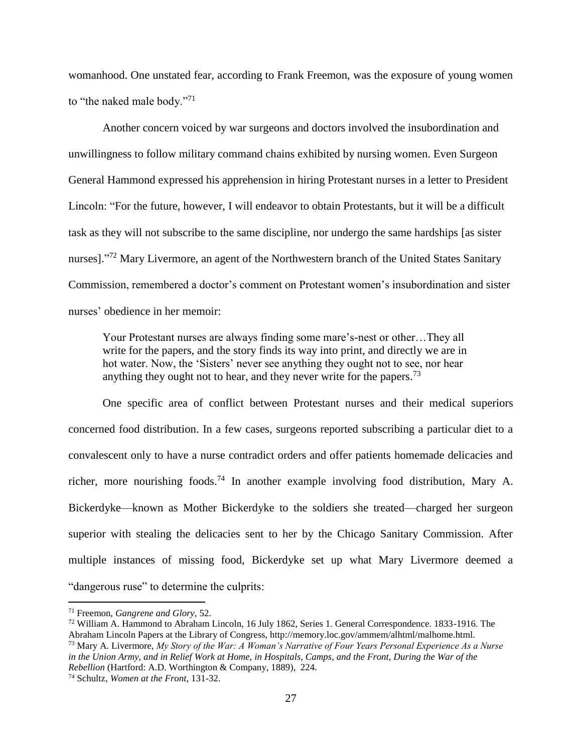womanhood. One unstated fear, according to Frank Freemon, was the exposure of young women to "the naked male body."<sup>71</sup>

Another concern voiced by war surgeons and doctors involved the insubordination and unwillingness to follow military command chains exhibited by nursing women. Even Surgeon General Hammond expressed his apprehension in hiring Protestant nurses in a letter to President Lincoln: "For the future, however, I will endeavor to obtain Protestants, but it will be a difficult task as they will not subscribe to the same discipline, nor undergo the same hardships [as sister nurses]."<sup>72</sup> Mary Livermore, an agent of the Northwestern branch of the United States Sanitary Commission, remembered a doctor's comment on Protestant women's insubordination and sister nurses' obedience in her memoir:

Your Protestant nurses are always finding some mare's-nest or other…They all write for the papers, and the story finds its way into print, and directly we are in hot water. Now, the 'Sisters' never see anything they ought not to see, nor hear anything they ought not to hear, and they never write for the papers.<sup>73</sup>

One specific area of conflict between Protestant nurses and their medical superiors concerned food distribution. In a few cases, surgeons reported subscribing a particular diet to a convalescent only to have a nurse contradict orders and offer patients homemade delicacies and richer, more nourishing foods.<sup>74</sup> In another example involving food distribution, Mary A. Bickerdyke—known as Mother Bickerdyke to the soldiers she treated—charged her surgeon superior with stealing the delicacies sent to her by the Chicago Sanitary Commission. After multiple instances of missing food, Bickerdyke set up what Mary Livermore deemed a "dangerous ruse" to determine the culprits:

<sup>71</sup> Freemon, *Gangrene and Glory,* 52.

<sup>72</sup> William A. Hammond to Abraham Lincoln, 16 July 1862, Series 1. General Correspondence. 1833-1916. The Abraham Lincoln Papers at the Library of Congress, http://memory.loc.gov/ammem/alhtml/malhome.html. <sup>73</sup> Mary A. Livermore, *My Story of the War: A Woman's Narrative of Four Years Personal Experience As a Nurse in the Union Army, and in Relief Work at Home, in Hospitals, Camps, and the Front, During the War of the Rebellion* (Hartford: A.D. Worthington & Company, 1889), 224.

<sup>74</sup> Schultz, *Women at the Front,* 131-32.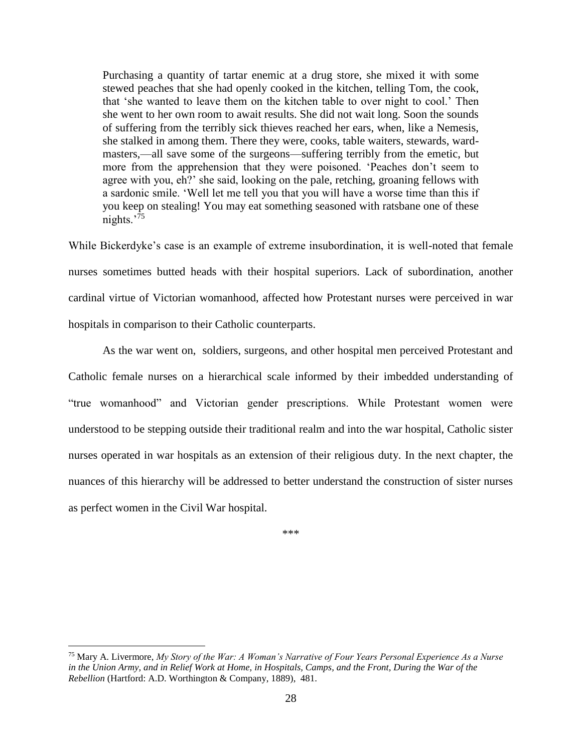Purchasing a quantity of tartar enemic at a drug store, she mixed it with some stewed peaches that she had openly cooked in the kitchen, telling Tom, the cook, that 'she wanted to leave them on the kitchen table to over night to cool.' Then she went to her own room to await results. She did not wait long. Soon the sounds of suffering from the terribly sick thieves reached her ears, when, like a Nemesis, she stalked in among them. There they were, cooks, table waiters, stewards, wardmasters,—all save some of the surgeons—suffering terribly from the emetic, but more from the apprehension that they were poisoned. 'Peaches don't seem to agree with you, eh?' she said, looking on the pale, retching, groaning fellows with a sardonic smile. 'Well let me tell you that you will have a worse time than this if you keep on stealing! You may eat something seasoned with ratsbane one of these nights.<sup>'75</sup>

While Bickerdyke's case is an example of extreme insubordination, it is well-noted that female nurses sometimes butted heads with their hospital superiors. Lack of subordination, another cardinal virtue of Victorian womanhood, affected how Protestant nurses were perceived in war hospitals in comparison to their Catholic counterparts.

As the war went on, soldiers, surgeons, and other hospital men perceived Protestant and Catholic female nurses on a hierarchical scale informed by their imbedded understanding of "true womanhood" and Victorian gender prescriptions. While Protestant women were understood to be stepping outside their traditional realm and into the war hospital, Catholic sister nurses operated in war hospitals as an extension of their religious duty. In the next chapter, the nuances of this hierarchy will be addressed to better understand the construction of sister nurses as perfect women in the Civil War hospital.

\*\*\*

<sup>75</sup> Mary A. Livermore, *My Story of the War: A Woman's Narrative of Four Years Personal Experience As a Nurse in the Union Army, and in Relief Work at Home, in Hospitals, Camps, and the Front, During the War of the Rebellion* (Hartford: A.D. Worthington & Company, 1889), 481.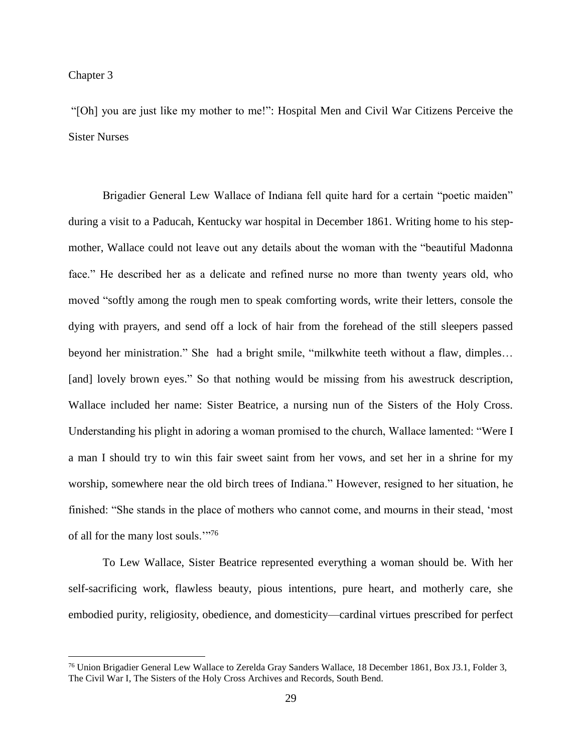#### Chapter 3

 $\overline{a}$ 

"[Oh] you are just like my mother to me!": Hospital Men and Civil War Citizens Perceive the Sister Nurses

Brigadier General Lew Wallace of Indiana fell quite hard for a certain "poetic maiden" during a visit to a Paducah, Kentucky war hospital in December 1861. Writing home to his stepmother, Wallace could not leave out any details about the woman with the "beautiful Madonna face." He described her as a delicate and refined nurse no more than twenty years old, who moved "softly among the rough men to speak comforting words, write their letters, console the dying with prayers, and send off a lock of hair from the forehead of the still sleepers passed beyond her ministration." She had a bright smile, "milkwhite teeth without a flaw, dimples… [and] lovely brown eyes." So that nothing would be missing from his awestruck description, Wallace included her name: Sister Beatrice, a nursing nun of the Sisters of the Holy Cross. Understanding his plight in adoring a woman promised to the church, Wallace lamented: "Were I a man I should try to win this fair sweet saint from her vows, and set her in a shrine for my worship, somewhere near the old birch trees of Indiana." However, resigned to her situation, he finished: "She stands in the place of mothers who cannot come, and mourns in their stead, 'most of all for the many lost souls."<sup>76</sup>

To Lew Wallace, Sister Beatrice represented everything a woman should be. With her self-sacrificing work, flawless beauty, pious intentions, pure heart, and motherly care, she embodied purity, religiosity, obedience, and domesticity—cardinal virtues prescribed for perfect

<sup>76</sup> Union Brigadier General Lew Wallace to Zerelda Gray Sanders Wallace, 18 December 1861, Box J3.1, Folder 3, The Civil War I, The Sisters of the Holy Cross Archives and Records, South Bend.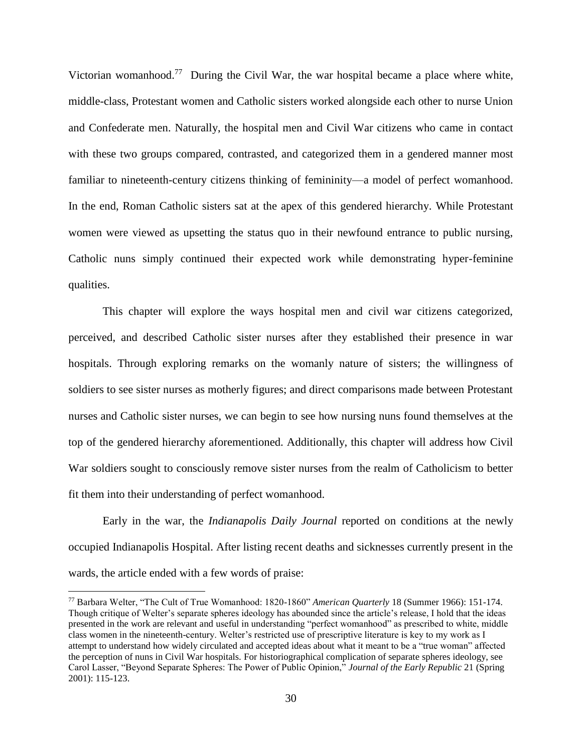Victorian womanhood.<sup>77</sup> During the Civil War, the war hospital became a place where white, middle-class, Protestant women and Catholic sisters worked alongside each other to nurse Union and Confederate men. Naturally, the hospital men and Civil War citizens who came in contact with these two groups compared, contrasted, and categorized them in a gendered manner most familiar to nineteenth-century citizens thinking of femininity—a model of perfect womanhood. In the end, Roman Catholic sisters sat at the apex of this gendered hierarchy. While Protestant women were viewed as upsetting the status quo in their newfound entrance to public nursing, Catholic nuns simply continued their expected work while demonstrating hyper-feminine qualities.

This chapter will explore the ways hospital men and civil war citizens categorized, perceived, and described Catholic sister nurses after they established their presence in war hospitals. Through exploring remarks on the womanly nature of sisters; the willingness of soldiers to see sister nurses as motherly figures; and direct comparisons made between Protestant nurses and Catholic sister nurses, we can begin to see how nursing nuns found themselves at the top of the gendered hierarchy aforementioned. Additionally, this chapter will address how Civil War soldiers sought to consciously remove sister nurses from the realm of Catholicism to better fit them into their understanding of perfect womanhood.

Early in the war, the *Indianapolis Daily Journal* reported on conditions at the newly occupied Indianapolis Hospital. After listing recent deaths and sicknesses currently present in the wards, the article ended with a few words of praise:

<sup>77</sup> Barbara Welter, "The Cult of True Womanhood: 1820-1860" *American Quarterly* 18 (Summer 1966): 151-174. Though critique of Welter's separate spheres ideology has abounded since the article's release, I hold that the ideas presented in the work are relevant and useful in understanding "perfect womanhood" as prescribed to white, middle class women in the nineteenth-century. Welter's restricted use of prescriptive literature is key to my work as I attempt to understand how widely circulated and accepted ideas about what it meant to be a "true woman" affected the perception of nuns in Civil War hospitals. For historiographical complication of separate spheres ideology, see Carol Lasser, "Beyond Separate Spheres: The Power of Public Opinion," *Journal of the Early Republic* 21 (Spring 2001): 115-123.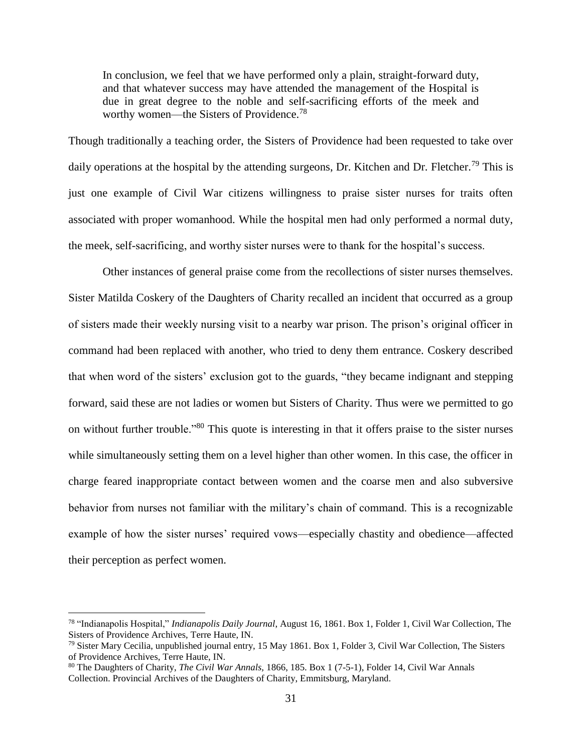In conclusion, we feel that we have performed only a plain, straight-forward duty, and that whatever success may have attended the management of the Hospital is due in great degree to the noble and self-sacrificing efforts of the meek and worthy women—the Sisters of Providence.<sup>78</sup>

Though traditionally a teaching order, the Sisters of Providence had been requested to take over daily operations at the hospital by the attending surgeons, Dr. Kitchen and Dr. Fletcher.<sup>79</sup> This is just one example of Civil War citizens willingness to praise sister nurses for traits often associated with proper womanhood. While the hospital men had only performed a normal duty, the meek, self-sacrificing, and worthy sister nurses were to thank for the hospital's success.

Other instances of general praise come from the recollections of sister nurses themselves. Sister Matilda Coskery of the Daughters of Charity recalled an incident that occurred as a group of sisters made their weekly nursing visit to a nearby war prison. The prison's original officer in command had been replaced with another, who tried to deny them entrance. Coskery described that when word of the sisters' exclusion got to the guards, "they became indignant and stepping forward, said these are not ladies or women but Sisters of Charity. Thus were we permitted to go on without further trouble."<sup>80</sup> This quote is interesting in that it offers praise to the sister nurses while simultaneously setting them on a level higher than other women. In this case, the officer in charge feared inappropriate contact between women and the coarse men and also subversive behavior from nurses not familiar with the military's chain of command. This is a recognizable example of how the sister nurses' required vows—especially chastity and obedience—affected their perception as perfect women.

<sup>78</sup> "Indianapolis Hospital," *Indianapolis Daily Journal*, August 16, 1861. Box 1, Folder 1, Civil War Collection, The Sisters of Providence Archives, Terre Haute, IN.

 $79$  Sister Mary Cecilia, unpublished journal entry, 15 May 1861. Box 1, Folder 3, Civil War Collection, The Sisters of Providence Archives, Terre Haute, IN.

<sup>80</sup> The Daughters of Charity, *The Civil War Annals,* 1866, 185. Box 1 (7-5-1), Folder 14, Civil War Annals Collection. Provincial Archives of the Daughters of Charity, Emmitsburg, Maryland.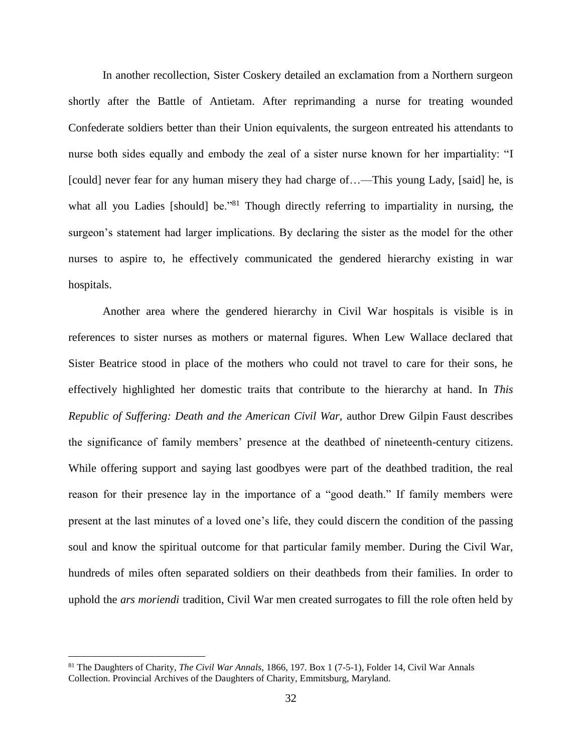In another recollection, Sister Coskery detailed an exclamation from a Northern surgeon shortly after the Battle of Antietam. After reprimanding a nurse for treating wounded Confederate soldiers better than their Union equivalents, the surgeon entreated his attendants to nurse both sides equally and embody the zeal of a sister nurse known for her impartiality: "I [could] never fear for any human misery they had charge of...—This young Lady, [said] he, is what all you Ladies [should] be."<sup>81</sup> Though directly referring to impartiality in nursing, the surgeon's statement had larger implications. By declaring the sister as the model for the other nurses to aspire to, he effectively communicated the gendered hierarchy existing in war hospitals.

Another area where the gendered hierarchy in Civil War hospitals is visible is in references to sister nurses as mothers or maternal figures. When Lew Wallace declared that Sister Beatrice stood in place of the mothers who could not travel to care for their sons, he effectively highlighted her domestic traits that contribute to the hierarchy at hand. In *This Republic of Suffering: Death and the American Civil War,* author Drew Gilpin Faust describes the significance of family members' presence at the deathbed of nineteenth-century citizens. While offering support and saying last goodbyes were part of the deathbed tradition, the real reason for their presence lay in the importance of a "good death." If family members were present at the last minutes of a loved one's life, they could discern the condition of the passing soul and know the spiritual outcome for that particular family member. During the Civil War, hundreds of miles often separated soldiers on their deathbeds from their families. In order to uphold the *ars moriendi* tradition, Civil War men created surrogates to fill the role often held by

<sup>81</sup> The Daughters of Charity, *The Civil War Annals,* 1866, 197. Box 1 (7-5-1), Folder 14, Civil War Annals Collection. Provincial Archives of the Daughters of Charity, Emmitsburg, Maryland.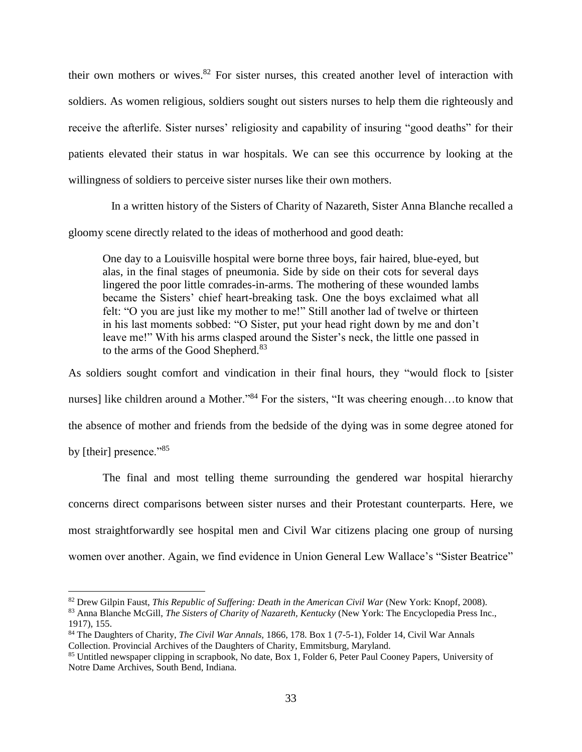their own mothers or wives.<sup>82</sup> For sister nurses, this created another level of interaction with soldiers. As women religious, soldiers sought out sisters nurses to help them die righteously and receive the afterlife. Sister nurses' religiosity and capability of insuring "good deaths" for their patients elevated their status in war hospitals. We can see this occurrence by looking at the willingness of soldiers to perceive sister nurses like their own mothers.

 In a written history of the Sisters of Charity of Nazareth, Sister Anna Blanche recalled a gloomy scene directly related to the ideas of motherhood and good death:

One day to a Louisville hospital were borne three boys, fair haired, blue-eyed, but alas, in the final stages of pneumonia. Side by side on their cots for several days lingered the poor little comrades-in-arms. The mothering of these wounded lambs became the Sisters' chief heart-breaking task. One the boys exclaimed what all felt: "O you are just like my mother to me!" Still another lad of twelve or thirteen in his last moments sobbed: "O Sister, put your head right down by me and don't leave me!" With his arms clasped around the Sister's neck, the little one passed in to the arms of the Good Shepherd.<sup>83</sup>

As soldiers sought comfort and vindication in their final hours, they "would flock to [sister nurses] like children around a Mother."<sup>84</sup> For the sisters, "It was cheering enough...to know that the absence of mother and friends from the bedside of the dying was in some degree atoned for by [their] presence."<sup>85</sup>

The final and most telling theme surrounding the gendered war hospital hierarchy concerns direct comparisons between sister nurses and their Protestant counterparts. Here, we most straightforwardly see hospital men and Civil War citizens placing one group of nursing women over another. Again, we find evidence in Union General Lew Wallace's "Sister Beatrice"

<sup>&</sup>lt;sup>82</sup> Drew Gilpin Faust, *This Republic of Suffering: Death in the American Civil War* (New York: Knopf, 2008).

<sup>83</sup> Anna Blanche McGill, *The Sisters of Charity of Nazareth, Kentucky* (New York: The Encyclopedia Press Inc., 1917), 155.

<sup>84</sup> The Daughters of Charity, *The Civil War Annals,* 1866, 178. Box 1 (7-5-1), Folder 14, Civil War Annals Collection. Provincial Archives of the Daughters of Charity, Emmitsburg, Maryland.

<sup>85</sup> Untitled newspaper clipping in scrapbook, No date, Box 1, Folder 6, Peter Paul Cooney Papers, University of Notre Dame Archives, South Bend, Indiana.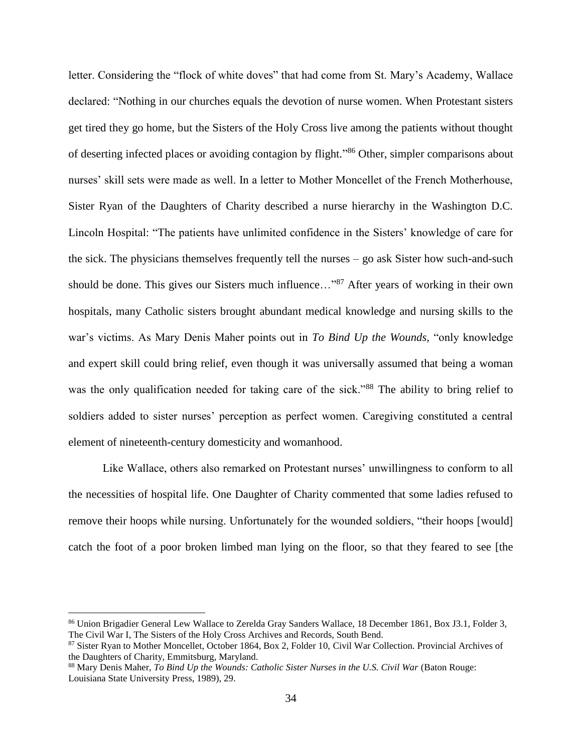letter. Considering the "flock of white doves" that had come from St. Mary's Academy, Wallace declared: "Nothing in our churches equals the devotion of nurse women. When Protestant sisters get tired they go home, but the Sisters of the Holy Cross live among the patients without thought of deserting infected places or avoiding contagion by flight."<sup>86</sup> Other, simpler comparisons about nurses' skill sets were made as well. In a letter to Mother Moncellet of the French Motherhouse, Sister Ryan of the Daughters of Charity described a nurse hierarchy in the Washington D.C. Lincoln Hospital: "The patients have unlimited confidence in the Sisters' knowledge of care for the sick. The physicians themselves frequently tell the nurses – go ask Sister how such-and-such should be done. This gives our Sisters much influence..."<sup>87</sup> After years of working in their own hospitals, many Catholic sisters brought abundant medical knowledge and nursing skills to the war's victims. As Mary Denis Maher points out in *To Bind Up the Wounds,* "only knowledge and expert skill could bring relief, even though it was universally assumed that being a woman was the only qualification needed for taking care of the sick."<sup>88</sup> The ability to bring relief to soldiers added to sister nurses' perception as perfect women. Caregiving constituted a central element of nineteenth-century domesticity and womanhood.

Like Wallace, others also remarked on Protestant nurses' unwillingness to conform to all the necessities of hospital life. One Daughter of Charity commented that some ladies refused to remove their hoops while nursing. Unfortunately for the wounded soldiers, "their hoops [would] catch the foot of a poor broken limbed man lying on the floor, so that they feared to see [the

<sup>86</sup> Union Brigadier General Lew Wallace to Zerelda Gray Sanders Wallace, 18 December 1861, Box J3.1, Folder 3, The Civil War I, The Sisters of the Holy Cross Archives and Records, South Bend.

<sup>87</sup> Sister Ryan to Mother Moncellet, October 1864, Box 2, Folder 10, Civil War Collection. Provincial Archives of the Daughters of Charity, Emmitsburg, Maryland.

<sup>88</sup> Mary Denis Maher, *To Bind Up the Wounds: Catholic Sister Nurses in the U.S. Civil War (Baton Rouge:* Louisiana State University Press, 1989), 29.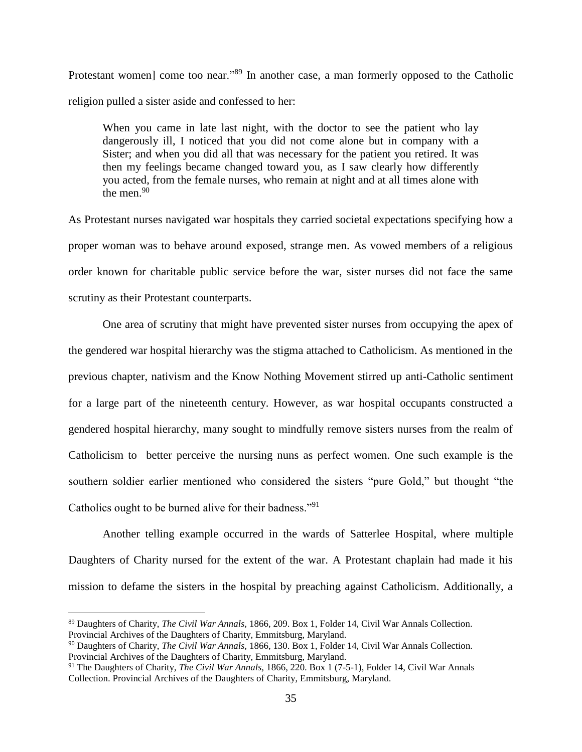Protestant women] come too near."<sup>89</sup> In another case, a man formerly opposed to the Catholic religion pulled a sister aside and confessed to her:

When you came in late last night, with the doctor to see the patient who lay dangerously ill, I noticed that you did not come alone but in company with a Sister; and when you did all that was necessary for the patient you retired. It was then my feelings became changed toward you, as I saw clearly how differently you acted, from the female nurses, who remain at night and at all times alone with the men. $90$ 

As Protestant nurses navigated war hospitals they carried societal expectations specifying how a proper woman was to behave around exposed, strange men. As vowed members of a religious order known for charitable public service before the war, sister nurses did not face the same scrutiny as their Protestant counterparts.

One area of scrutiny that might have prevented sister nurses from occupying the apex of the gendered war hospital hierarchy was the stigma attached to Catholicism. As mentioned in the previous chapter, nativism and the Know Nothing Movement stirred up anti-Catholic sentiment for a large part of the nineteenth century. However, as war hospital occupants constructed a gendered hospital hierarchy, many sought to mindfully remove sisters nurses from the realm of Catholicism to better perceive the nursing nuns as perfect women. One such example is the southern soldier earlier mentioned who considered the sisters "pure Gold," but thought "the Catholics ought to be burned alive for their badness."<sup>91</sup>

Another telling example occurred in the wards of Satterlee Hospital, where multiple Daughters of Charity nursed for the extent of the war. A Protestant chaplain had made it his mission to defame the sisters in the hospital by preaching against Catholicism. Additionally, a

<sup>89</sup> Daughters of Charity, *The Civil War Annals,* 1866, 209. Box 1, Folder 14, Civil War Annals Collection. Provincial Archives of the Daughters of Charity, Emmitsburg, Maryland.

<sup>90</sup> Daughters of Charity, *The Civil War Annals,* 1866, 130. Box 1, Folder 14, Civil War Annals Collection. Provincial Archives of the Daughters of Charity, Emmitsburg, Maryland.

<sup>91</sup> The Daughters of Charity, *The Civil War Annals,* 1866, 220. Box 1 (7-5-1), Folder 14, Civil War Annals Collection. Provincial Archives of the Daughters of Charity, Emmitsburg, Maryland.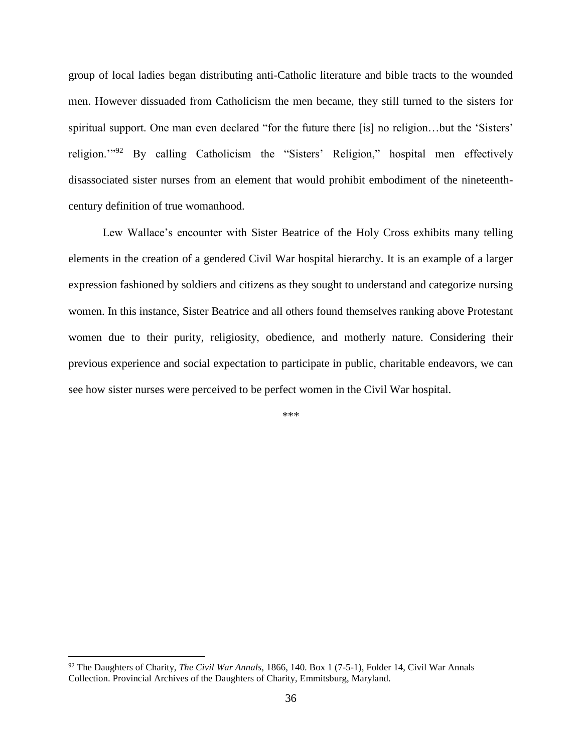group of local ladies began distributing anti-Catholic literature and bible tracts to the wounded men. However dissuaded from Catholicism the men became, they still turned to the sisters for spiritual support. One man even declared "for the future there [is] no religion…but the 'Sisters' religion."<sup>92</sup> By calling Catholicism the "Sisters' Religion," hospital men effectively disassociated sister nurses from an element that would prohibit embodiment of the nineteenthcentury definition of true womanhood.

Lew Wallace's encounter with Sister Beatrice of the Holy Cross exhibits many telling elements in the creation of a gendered Civil War hospital hierarchy. It is an example of a larger expression fashioned by soldiers and citizens as they sought to understand and categorize nursing women. In this instance, Sister Beatrice and all others found themselves ranking above Protestant women due to their purity, religiosity, obedience, and motherly nature. Considering their previous experience and social expectation to participate in public, charitable endeavors, we can see how sister nurses were perceived to be perfect women in the Civil War hospital.

\*\*\*

<sup>92</sup> The Daughters of Charity, *The Civil War Annals,* 1866, 140. Box 1 (7-5-1), Folder 14, Civil War Annals Collection. Provincial Archives of the Daughters of Charity, Emmitsburg, Maryland.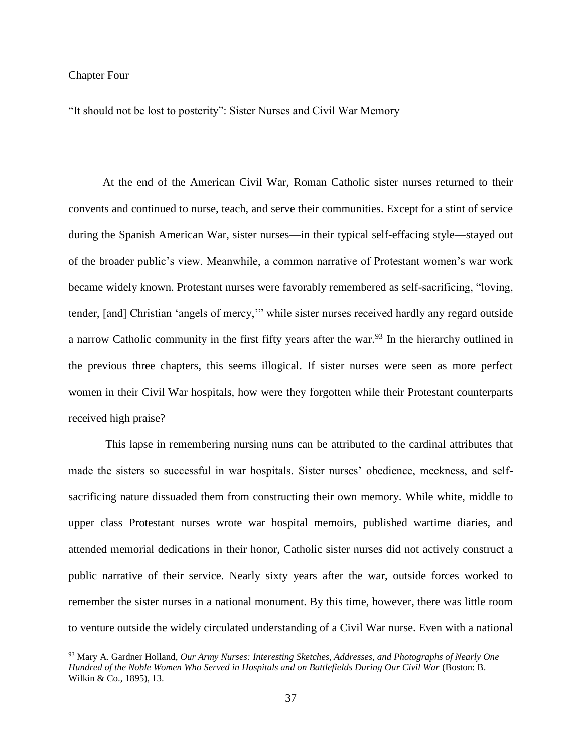### Chapter Four

 $\overline{a}$ 

"It should not be lost to posterity": Sister Nurses and Civil War Memory

At the end of the American Civil War, Roman Catholic sister nurses returned to their convents and continued to nurse, teach, and serve their communities. Except for a stint of service during the Spanish American War, sister nurses—in their typical self-effacing style—stayed out of the broader public's view. Meanwhile, a common narrative of Protestant women's war work became widely known. Protestant nurses were favorably remembered as self-sacrificing, "loving, tender, [and] Christian 'angels of mercy,'" while sister nurses received hardly any regard outside a narrow Catholic community in the first fifty years after the war.<sup>93</sup> In the hierarchy outlined in the previous three chapters, this seems illogical. If sister nurses were seen as more perfect women in their Civil War hospitals, how were they forgotten while their Protestant counterparts received high praise?

This lapse in remembering nursing nuns can be attributed to the cardinal attributes that made the sisters so successful in war hospitals. Sister nurses' obedience, meekness, and selfsacrificing nature dissuaded them from constructing their own memory. While white, middle to upper class Protestant nurses wrote war hospital memoirs, published wartime diaries, and attended memorial dedications in their honor, Catholic sister nurses did not actively construct a public narrative of their service. Nearly sixty years after the war, outside forces worked to remember the sister nurses in a national monument. By this time, however, there was little room to venture outside the widely circulated understanding of a Civil War nurse. Even with a national

<sup>93</sup> Mary A. Gardner Holland, *Our Army Nurses: Interesting Sketches, Addresses, and Photographs of Nearly One*  Hundred of the Noble Women Who Served in Hospitals and on Battlefields During Our Civil War (Boston: B. Wilkin & Co., 1895), 13.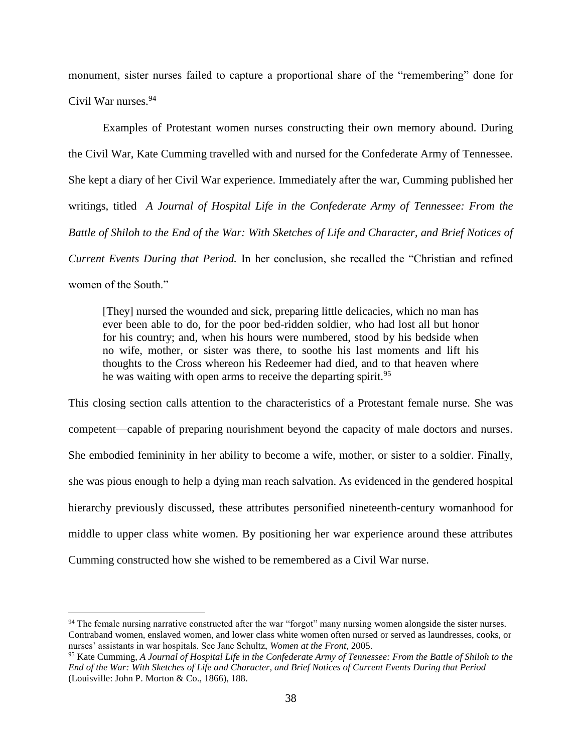monument, sister nurses failed to capture a proportional share of the "remembering" done for Civil War nurses.<sup>94</sup>

Examples of Protestant women nurses constructing their own memory abound. During the Civil War, Kate Cumming travelled with and nursed for the Confederate Army of Tennessee. She kept a diary of her Civil War experience. Immediately after the war, Cumming published her writings, titled *A Journal of Hospital Life in the Confederate Army of Tennessee: From the Battle of Shiloh to the End of the War: With Sketches of Life and Character, and Brief Notices of Current Events During that Period.* In her conclusion, she recalled the "Christian and refined women of the South."

[They] nursed the wounded and sick, preparing little delicacies, which no man has ever been able to do, for the poor bed-ridden soldier, who had lost all but honor for his country; and, when his hours were numbered, stood by his bedside when no wife, mother, or sister was there, to soothe his last moments and lift his thoughts to the Cross whereon his Redeemer had died, and to that heaven where he was waiting with open arms to receive the departing spirit.<sup>95</sup>

This closing section calls attention to the characteristics of a Protestant female nurse. She was competent—capable of preparing nourishment beyond the capacity of male doctors and nurses. She embodied femininity in her ability to become a wife, mother, or sister to a soldier. Finally, she was pious enough to help a dying man reach salvation. As evidenced in the gendered hospital hierarchy previously discussed, these attributes personified nineteenth-century womanhood for middle to upper class white women. By positioning her war experience around these attributes Cumming constructed how she wished to be remembered as a Civil War nurse.

<sup>&</sup>lt;sup>94</sup> The female nursing narrative constructed after the war "forgot" many nursing women alongside the sister nurses. Contraband women, enslaved women, and lower class white women often nursed or served as laundresses, cooks, or nurses' assistants in war hospitals. See Jane Schultz, *Women at the Front*, 2005.

<sup>95</sup> Kate Cumming, *A Journal of Hospital Life in the Confederate Army of Tennessee: From the Battle of Shiloh to the End of the War: With Sketches of Life and Character, and Brief Notices of Current Events During that Period* (Louisville: John P. Morton & Co., 1866), 188.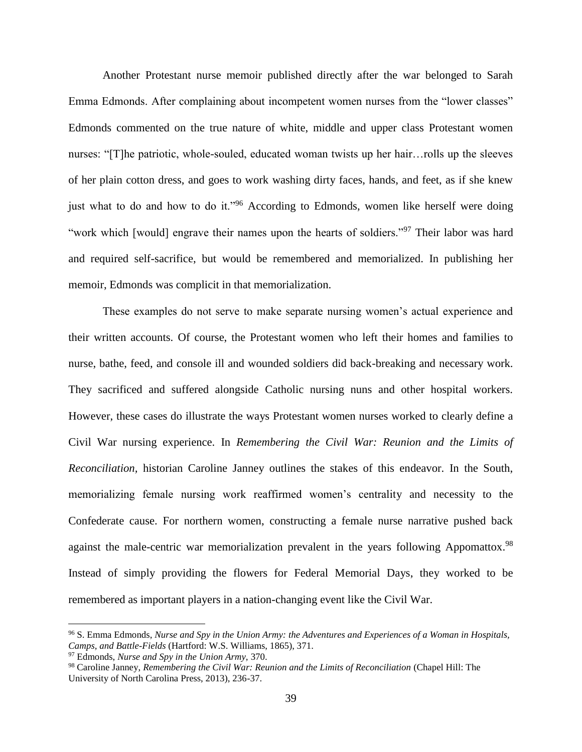Another Protestant nurse memoir published directly after the war belonged to Sarah Emma Edmonds. After complaining about incompetent women nurses from the "lower classes" Edmonds commented on the true nature of white, middle and upper class Protestant women nurses: "[T]he patriotic, whole-souled, educated woman twists up her hair…rolls up the sleeves of her plain cotton dress, and goes to work washing dirty faces, hands, and feet, as if she knew just what to do and how to do it."<sup>96</sup> According to Edmonds, women like herself were doing "work which [would] engrave their names upon the hearts of soldiers."<sup>97</sup> Their labor was hard and required self-sacrifice, but would be remembered and memorialized. In publishing her memoir, Edmonds was complicit in that memorialization.

These examples do not serve to make separate nursing women's actual experience and their written accounts. Of course, the Protestant women who left their homes and families to nurse, bathe, feed, and console ill and wounded soldiers did back-breaking and necessary work. They sacrificed and suffered alongside Catholic nursing nuns and other hospital workers. However, these cases do illustrate the ways Protestant women nurses worked to clearly define a Civil War nursing experience. In *Remembering the Civil War: Reunion and the Limits of Reconciliation,* historian Caroline Janney outlines the stakes of this endeavor. In the South, memorializing female nursing work reaffirmed women's centrality and necessity to the Confederate cause. For northern women, constructing a female nurse narrative pushed back against the male-centric war memorialization prevalent in the years following Appomattox.<sup>98</sup> Instead of simply providing the flowers for Federal Memorial Days, they worked to be remembered as important players in a nation-changing event like the Civil War.

<sup>96</sup> S. Emma Edmonds, *Nurse and Spy in the Union Army: the Adventures and Experiences of a Woman in Hospitals, Camps, and Battle-Fields* (Hartford: W.S. Williams, 1865), 371.

<sup>97</sup> Edmonds, *Nurse and Spy in the Union Army,* 370.

<sup>98</sup> Caroline Janney, *Remembering the Civil War: Reunion and the Limits of Reconciliation* (Chapel Hill: The University of North Carolina Press, 2013), 236-37.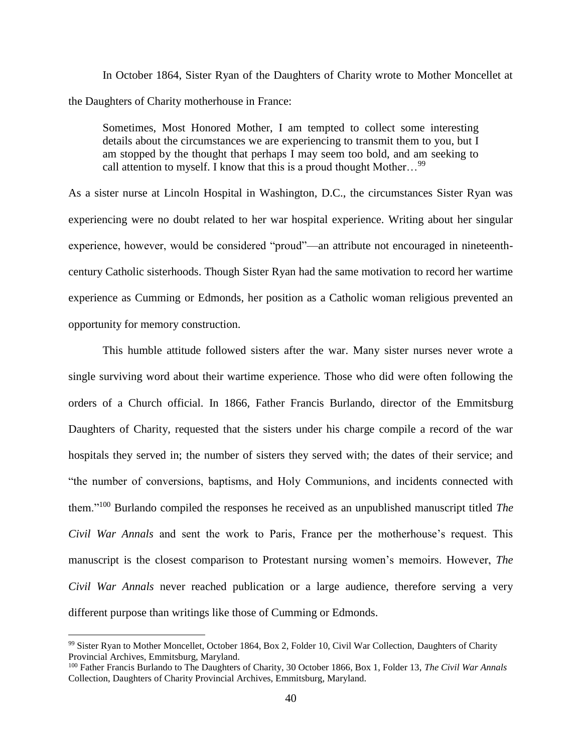In October 1864, Sister Ryan of the Daughters of Charity wrote to Mother Moncellet at the Daughters of Charity motherhouse in France:

Sometimes, Most Honored Mother, I am tempted to collect some interesting details about the circumstances we are experiencing to transmit them to you, but I am stopped by the thought that perhaps I may seem too bold, and am seeking to call attention to myself. I know that this is a proud thought Mother...<sup>99</sup>

As a sister nurse at Lincoln Hospital in Washington, D.C., the circumstances Sister Ryan was experiencing were no doubt related to her war hospital experience. Writing about her singular experience, however, would be considered "proud"—an attribute not encouraged in nineteenthcentury Catholic sisterhoods. Though Sister Ryan had the same motivation to record her wartime experience as Cumming or Edmonds, her position as a Catholic woman religious prevented an opportunity for memory construction.

This humble attitude followed sisters after the war. Many sister nurses never wrote a single surviving word about their wartime experience. Those who did were often following the orders of a Church official. In 1866, Father Francis Burlando, director of the Emmitsburg Daughters of Charity, requested that the sisters under his charge compile a record of the war hospitals they served in; the number of sisters they served with; the dates of their service; and "the number of conversions, baptisms, and Holy Communions, and incidents connected with them."<sup>100</sup> Burlando compiled the responses he received as an unpublished manuscript titled *The Civil War Annals* and sent the work to Paris, France per the motherhouse's request. This manuscript is the closest comparison to Protestant nursing women's memoirs. However, *The Civil War Annals* never reached publication or a large audience, therefore serving a very different purpose than writings like those of Cumming or Edmonds.

<sup>99</sup> Sister Ryan to Mother Moncellet, October 1864, Box 2, Folder 10, Civil War Collection, Daughters of Charity Provincial Archives, Emmitsburg, Maryland.

<sup>100</sup> Father Francis Burlando to The Daughters of Charity, 30 October 1866, Box 1, Folder 13, *The Civil War Annals*  Collection, Daughters of Charity Provincial Archives, Emmitsburg, Maryland.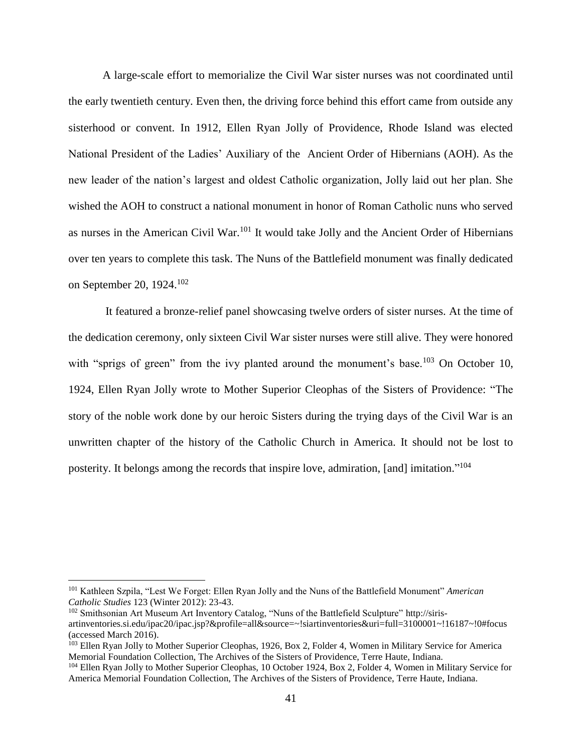A large-scale effort to memorialize the Civil War sister nurses was not coordinated until the early twentieth century. Even then, the driving force behind this effort came from outside any sisterhood or convent. In 1912, Ellen Ryan Jolly of Providence, Rhode Island was elected National President of the Ladies' Auxiliary of the Ancient Order of Hibernians (AOH). As the new leader of the nation's largest and oldest Catholic organization, Jolly laid out her plan. She wished the AOH to construct a national monument in honor of Roman Catholic nuns who served as nurses in the American Civil War.<sup>101</sup> It would take Jolly and the Ancient Order of Hibernians over ten years to complete this task. The Nuns of the Battlefield monument was finally dedicated on September 20, 1924.<sup>102</sup>

It featured a bronze-relief panel showcasing twelve orders of sister nurses. At the time of the dedication ceremony, only sixteen Civil War sister nurses were still alive. They were honored with "sprigs of green" from the ivy planted around the monument's base.<sup>103</sup> On October 10, 1924, Ellen Ryan Jolly wrote to Mother Superior Cleophas of the Sisters of Providence: "The story of the noble work done by our heroic Sisters during the trying days of the Civil War is an unwritten chapter of the history of the Catholic Church in America. It should not be lost to posterity. It belongs among the records that inspire love, admiration, [and] imitation."<sup>104</sup>

<sup>101</sup> Kathleen Szpila, "Lest We Forget: Ellen Ryan Jolly and the Nuns of the Battlefield Monument" *American Catholic Studies* 123 (Winter 2012): 23-43.

<sup>&</sup>lt;sup>102</sup> Smithsonian Art Museum Art Inventory Catalog, "Nuns of the Battlefield Sculpture" http://sirisartinventories.si.edu/ipac20/ipac.jsp?&profile=all&source=~!siartinventories&uri=full=3100001~!16187~!0#focus (accessed March 2016).

<sup>&</sup>lt;sup>103</sup> Ellen Ryan Jolly to Mother Superior Cleophas, 1926, Box 2, Folder 4, Women in Military Service for America Memorial Foundation Collection, The Archives of the Sisters of Providence, Terre Haute, Indiana.

<sup>&</sup>lt;sup>104</sup> Ellen Ryan Jolly to Mother Superior Cleophas, 10 October 1924, Box 2, Folder 4, Women in Military Service for America Memorial Foundation Collection, The Archives of the Sisters of Providence, Terre Haute, Indiana.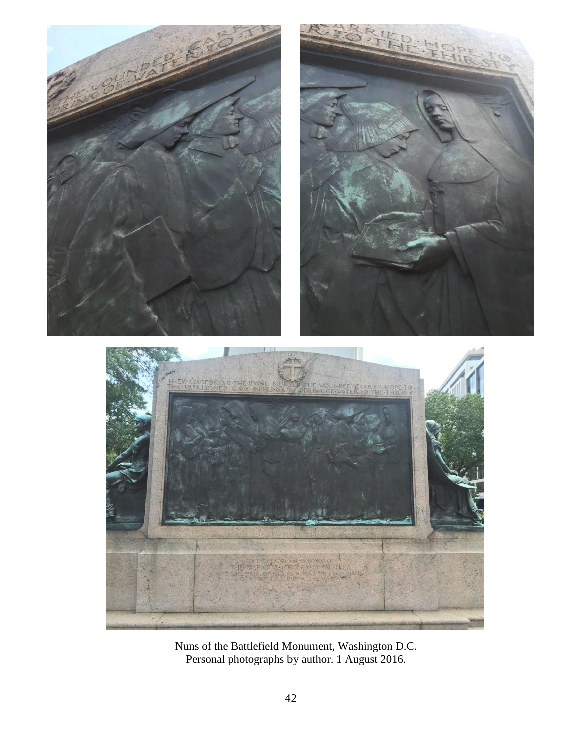

Nuns of the Battlefield Monument, Washington D.C. Personal photographs by author. 1 August 2016.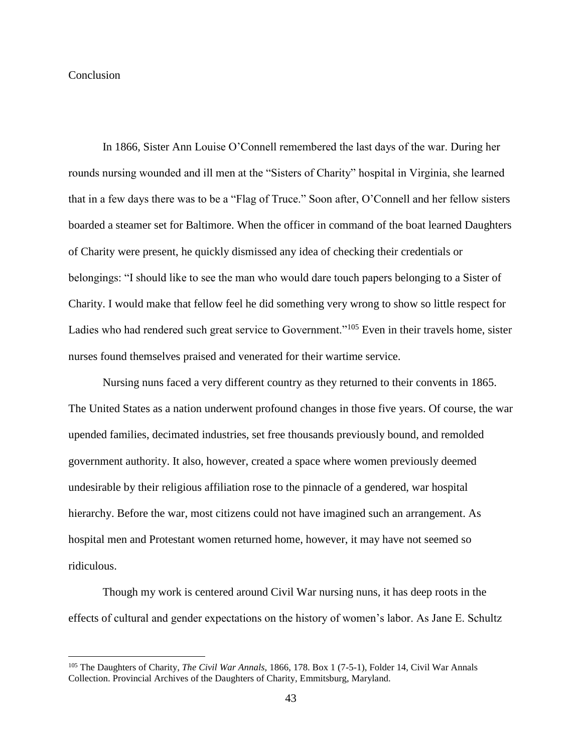### **Conclusion**

 $\overline{a}$ 

In 1866, Sister Ann Louise O'Connell remembered the last days of the war. During her rounds nursing wounded and ill men at the "Sisters of Charity" hospital in Virginia, she learned that in a few days there was to be a "Flag of Truce." Soon after, O'Connell and her fellow sisters boarded a steamer set for Baltimore. When the officer in command of the boat learned Daughters of Charity were present, he quickly dismissed any idea of checking their credentials or belongings: "I should like to see the man who would dare touch papers belonging to a Sister of Charity. I would make that fellow feel he did something very wrong to show so little respect for Ladies who had rendered such great service to Government."<sup>105</sup> Even in their travels home, sister nurses found themselves praised and venerated for their wartime service.

Nursing nuns faced a very different country as they returned to their convents in 1865. The United States as a nation underwent profound changes in those five years. Of course, the war upended families, decimated industries, set free thousands previously bound, and remolded government authority. It also, however, created a space where women previously deemed undesirable by their religious affiliation rose to the pinnacle of a gendered, war hospital hierarchy. Before the war, most citizens could not have imagined such an arrangement. As hospital men and Protestant women returned home, however, it may have not seemed so ridiculous.

Though my work is centered around Civil War nursing nuns, it has deep roots in the effects of cultural and gender expectations on the history of women's labor. As Jane E. Schultz

<sup>105</sup> The Daughters of Charity, *The Civil War Annals,* 1866, 178. Box 1 (7-5-1), Folder 14, Civil War Annals Collection. Provincial Archives of the Daughters of Charity, Emmitsburg, Maryland.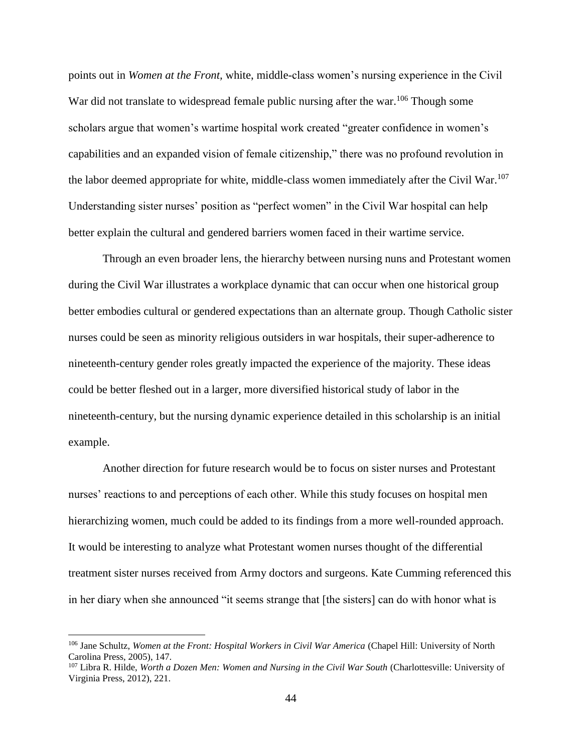points out in *Women at the Front,* white, middle-class women's nursing experience in the Civil War did not translate to widespread female public nursing after the war.<sup>106</sup> Though some scholars argue that women's wartime hospital work created "greater confidence in women's capabilities and an expanded vision of female citizenship," there was no profound revolution in the labor deemed appropriate for white, middle-class women immediately after the Civil War.<sup>107</sup> Understanding sister nurses' position as "perfect women" in the Civil War hospital can help better explain the cultural and gendered barriers women faced in their wartime service.

Through an even broader lens, the hierarchy between nursing nuns and Protestant women during the Civil War illustrates a workplace dynamic that can occur when one historical group better embodies cultural or gendered expectations than an alternate group. Though Catholic sister nurses could be seen as minority religious outsiders in war hospitals, their super-adherence to nineteenth-century gender roles greatly impacted the experience of the majority. These ideas could be better fleshed out in a larger, more diversified historical study of labor in the nineteenth-century, but the nursing dynamic experience detailed in this scholarship is an initial example.

Another direction for future research would be to focus on sister nurses and Protestant nurses' reactions to and perceptions of each other. While this study focuses on hospital men hierarchizing women, much could be added to its findings from a more well-rounded approach. It would be interesting to analyze what Protestant women nurses thought of the differential treatment sister nurses received from Army doctors and surgeons. Kate Cumming referenced this in her diary when she announced "it seems strange that [the sisters] can do with honor what is

<sup>&</sup>lt;sup>106</sup> Jane Schultz, *Women at the Front: Hospital Workers in Civil War America* (Chapel Hill: University of North Carolina Press, 2005), 147.

<sup>&</sup>lt;sup>107</sup> Libra R. Hilde, *Worth a Dozen Men: Women and Nursing in the Civil War South* (Charlottesville: University of Virginia Press, 2012), 221.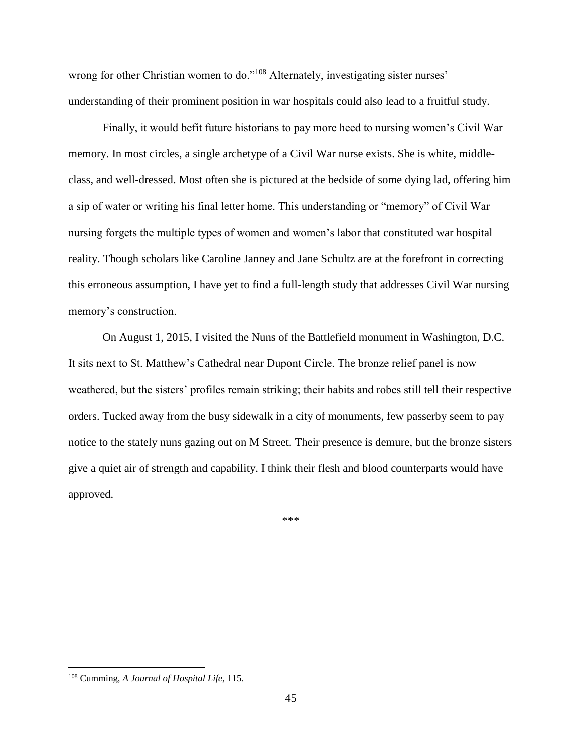wrong for other Christian women to do."<sup>108</sup> Alternately, investigating sister nurses' understanding of their prominent position in war hospitals could also lead to a fruitful study.

Finally, it would befit future historians to pay more heed to nursing women's Civil War memory. In most circles, a single archetype of a Civil War nurse exists. She is white, middleclass, and well-dressed. Most often she is pictured at the bedside of some dying lad, offering him a sip of water or writing his final letter home. This understanding or "memory" of Civil War nursing forgets the multiple types of women and women's labor that constituted war hospital reality. Though scholars like Caroline Janney and Jane Schultz are at the forefront in correcting this erroneous assumption, I have yet to find a full-length study that addresses Civil War nursing memory's construction.

On August 1, 2015, I visited the Nuns of the Battlefield monument in Washington, D.C. It sits next to St. Matthew's Cathedral near Dupont Circle. The bronze relief panel is now weathered, but the sisters' profiles remain striking; their habits and robes still tell their respective orders. Tucked away from the busy sidewalk in a city of monuments, few passerby seem to pay notice to the stately nuns gazing out on M Street. Their presence is demure, but the bronze sisters give a quiet air of strength and capability. I think their flesh and blood counterparts would have approved.

\*\*\*

<sup>108</sup> Cumming, *A Journal of Hospital Life,* 115.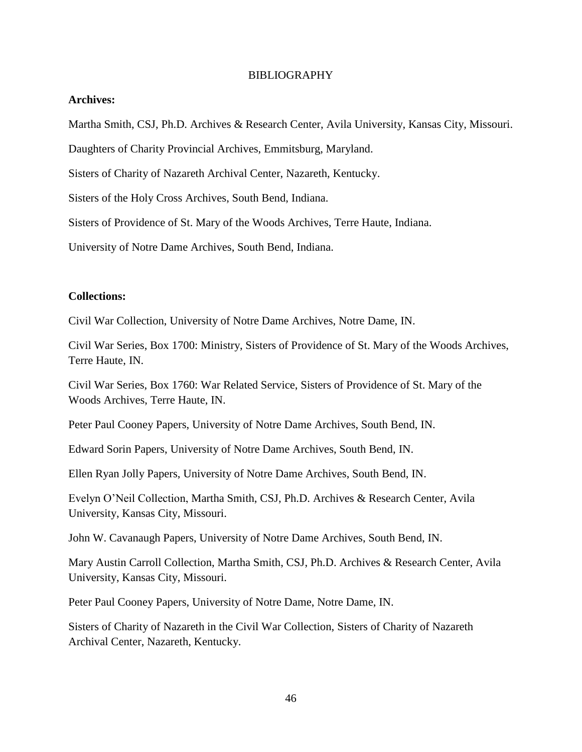#### BIBLIOGRAPHY

## **Archives:**

Martha Smith, CSJ, Ph.D. Archives & Research Center, Avila University, Kansas City, Missouri.

Daughters of Charity Provincial Archives, Emmitsburg, Maryland.

Sisters of Charity of Nazareth Archival Center, Nazareth, Kentucky.

Sisters of the Holy Cross Archives, South Bend, Indiana.

Sisters of Providence of St. Mary of the Woods Archives, Terre Haute, Indiana.

University of Notre Dame Archives, South Bend, Indiana.

#### **Collections:**

Civil War Collection, University of Notre Dame Archives, Notre Dame, IN.

Civil War Series, Box 1700: Ministry, Sisters of Providence of St. Mary of the Woods Archives, Terre Haute, IN.

Civil War Series, Box 1760: War Related Service, Sisters of Providence of St. Mary of the Woods Archives, Terre Haute, IN.

Peter Paul Cooney Papers, University of Notre Dame Archives, South Bend, IN.

Edward Sorin Papers, University of Notre Dame Archives, South Bend, IN.

Ellen Ryan Jolly Papers, University of Notre Dame Archives, South Bend, IN.

Evelyn O'Neil Collection, Martha Smith, CSJ, Ph.D. Archives & Research Center, Avila University, Kansas City, Missouri.

John W. Cavanaugh Papers, University of Notre Dame Archives, South Bend, IN.

Mary Austin Carroll Collection, Martha Smith, CSJ, Ph.D. Archives & Research Center, Avila University, Kansas City, Missouri.

Peter Paul Cooney Papers, University of Notre Dame, Notre Dame, IN.

Sisters of Charity of Nazareth in the Civil War Collection, Sisters of Charity of Nazareth Archival Center, Nazareth, Kentucky.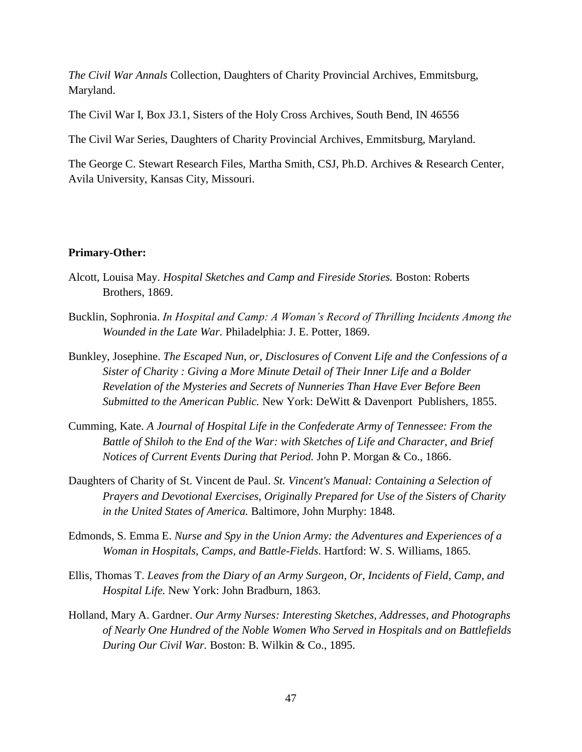*The Civil War Annals* Collection, Daughters of Charity Provincial Archives, Emmitsburg, Maryland.

The Civil War I, Box J3.1, Sisters of the Holy Cross Archives, South Bend, IN 46556

The Civil War Series, Daughters of Charity Provincial Archives, Emmitsburg, Maryland.

The George C. Stewart Research Files, Martha Smith, CSJ, Ph.D. Archives & Research Center, Avila University, Kansas City, Missouri.

### **Primary-Other:**

- Alcott, Louisa May. *Hospital Sketches and Camp and Fireside Stories.* Boston: Roberts Brothers, 1869.
- Bucklin, Sophronia. *In Hospital and Camp: A Woman's Record of Thrilling Incidents Among the Wounded in the Late War.* Philadelphia: J. E. Potter, 1869.
- Bunkley, Josephine. *The Escaped Nun, or, Disclosures of Convent Life and the Confessions of a Sister of Charity : Giving a More Minute Detail of Their Inner Life and a Bolder Revelation of the Mysteries and Secrets of Nunneries Than Have Ever Before Been Submitted to the American Public.* New York: DeWitt & Davenport Publishers, 1855.
- Cumming, Kate. *A Journal of Hospital Life in the Confederate Army of Tennessee: From the Battle of Shiloh to the End of the War: with Sketches of Life and Character, and Brief Notices of Current Events During that Period.* John P. Morgan & Co., 1866.
- Daughters of Charity of St. Vincent de Paul. *St. Vincent's Manual: Containing a Selection of Prayers and Devotional Exercises, Originally Prepared for Use of the Sisters of Charity in the United States of America.* Baltimore, John Murphy: 1848.
- Edmonds, S. Emma E. *Nurse and Spy in the Union Army: the Adventures and Experiences of a Woman in Hospitals, Camps, and Battle-Fields*. Hartford: W. S. Williams, 1865.
- Ellis, Thomas T. *Leaves from the Diary of an Army Surgeon, Or, Incidents of Field, Camp, and Hospital Life.* New York: John Bradburn, 1863.
- Holland, Mary A. Gardner. *Our Army Nurses: Interesting Sketches, Addresses, and Photographs of Nearly One Hundred of the Noble Women Who Served in Hospitals and on Battlefields During Our Civil War.* Boston: B. Wilkin & Co., 1895.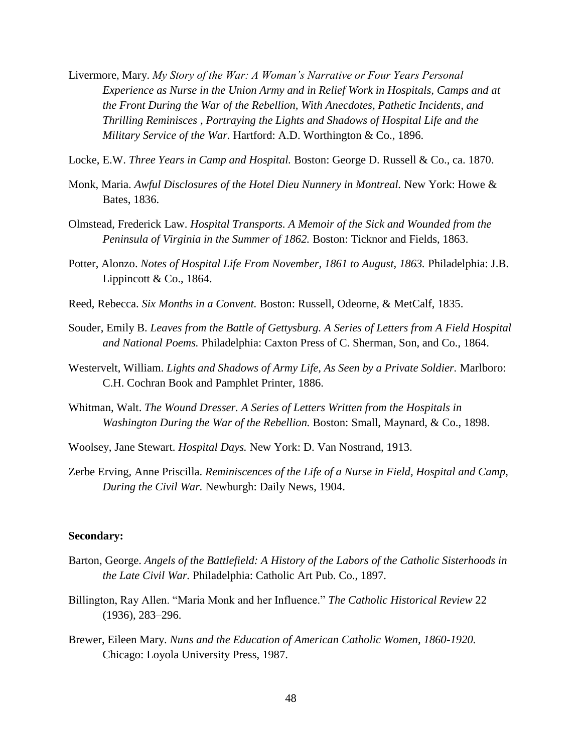- Livermore, Mary. *My Story of the War: A Woman's Narrative or Four Years Personal Experience as Nurse in the Union Army and in Relief Work in Hospitals, Camps and at the Front During the War of the Rebellion, With Anecdotes, Pathetic Incidents, and Thrilling Reminisces , Portraying the Lights and Shadows of Hospital Life and the Military Service of the War.* Hartford: A.D. Worthington & Co., 1896.
- Locke, E.W. *Three Years in Camp and Hospital.* Boston: George D. Russell & Co., ca. 1870.
- Monk, Maria. *Awful Disclosures of the Hotel Dieu Nunnery in Montreal.* New York: Howe & Bates, 1836.
- Olmstead, Frederick Law. *Hospital Transports. A Memoir of the Sick and Wounded from the Peninsula of Virginia in the Summer of 1862.* Boston: Ticknor and Fields, 1863.
- Potter, Alonzo. *Notes of Hospital Life From November, 1861 to August, 1863.* Philadelphia: J.B. Lippincott & Co., 1864.
- Reed, Rebecca. *Six Months in a Convent.* Boston: Russell, Odeorne, & MetCalf, 1835.
- Souder, Emily B. *Leaves from the Battle of Gettysburg. A Series of Letters from A Field Hospital and National Poems.* Philadelphia: Caxton Press of C. Sherman, Son, and Co., 1864.
- Westervelt, William. *Lights and Shadows of Army Life, As Seen by a Private Soldier.* Marlboro: C.H. Cochran Book and Pamphlet Printer, 1886.
- Whitman, Walt. *The Wound Dresser. A Series of Letters Written from the Hospitals in Washington During the War of the Rebellion.* Boston: Small, Maynard, & Co., 1898.
- Woolsey, Jane Stewart. *Hospital Days.* New York: D. Van Nostrand, 1913.
- Zerbe Erving, Anne Priscilla. *Reminiscences of the Life of a Nurse in Field, Hospital and Camp, During the Civil War.* Newburgh: Daily News, 1904.

#### **Secondary:**

- Barton, George. *Angels of the Battlefield: A History of the Labors of the Catholic Sisterhoods in the Late Civil War.* Philadelphia: Catholic Art Pub. Co., 1897.
- Billington, Ray Allen. "Maria Monk and her Influence." *The Catholic Historical Review* 22 (1936), 283–296.
- Brewer, Eileen Mary. *Nuns and the Education of American Catholic Women, 1860-1920.* Chicago: Loyola University Press, 1987.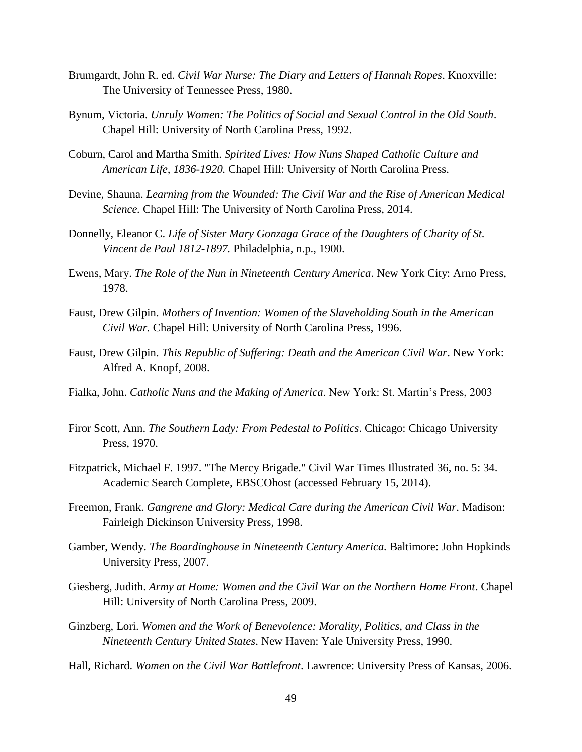- Brumgardt, John R. ed. *Civil War Nurse: The Diary and Letters of Hannah Ropes*. Knoxville: The University of Tennessee Press, 1980.
- Bynum, Victoria. *Unruly Women: The Politics of Social and Sexual Control in the Old South*. Chapel Hill: University of North Carolina Press, 1992.
- Coburn, Carol and Martha Smith. *Spirited Lives: How Nuns Shaped Catholic Culture and American Life, 1836-1920.* Chapel Hill: University of North Carolina Press.
- Devine, Shauna. *Learning from the Wounded: The Civil War and the Rise of American Medical Science.* Chapel Hill: The University of North Carolina Press, 2014.
- Donnelly, Eleanor C. *Life of Sister Mary Gonzaga Grace of the Daughters of Charity of St. Vincent de Paul 1812-1897.* Philadelphia, n.p., 1900.
- Ewens, Mary. *The Role of the Nun in Nineteenth Century America*. New York City: Arno Press, 1978.
- Faust, Drew Gilpin. *Mothers of Invention: Women of the Slaveholding South in the American Civil War.* Chapel Hill: University of North Carolina Press, 1996.
- Faust, Drew Gilpin. *This Republic of Suffering: Death and the American Civil War*. New York: Alfred A. Knopf, 2008.
- Fialka, John. *Catholic Nuns and the Making of America*. New York: St. Martin's Press, 2003
- Firor Scott, Ann. *The Southern Lady: From Pedestal to Politics*. Chicago: Chicago University Press, 1970.
- Fitzpatrick, Michael F. 1997. "The Mercy Brigade." Civil War Times Illustrated 36, no. 5: 34. Academic Search Complete, EBSCOhost (accessed February 15, 2014).
- Freemon, Frank. *Gangrene and Glory: Medical Care during the American Civil War*. Madison: Fairleigh Dickinson University Press, 1998.
- Gamber, Wendy. *The Boardinghouse in Nineteenth Century America.* Baltimore: John Hopkinds University Press, 2007.
- Giesberg, Judith. *Army at Home: Women and the Civil War on the Northern Home Front*. Chapel Hill: University of North Carolina Press, 2009.
- Ginzberg, Lori. *Women and the Work of Benevolence: Morality, Politics, and Class in the Nineteenth Century United States*. New Haven: Yale University Press, 1990.
- Hall, Richard. *Women on the Civil War Battlefront*. Lawrence: University Press of Kansas, 2006.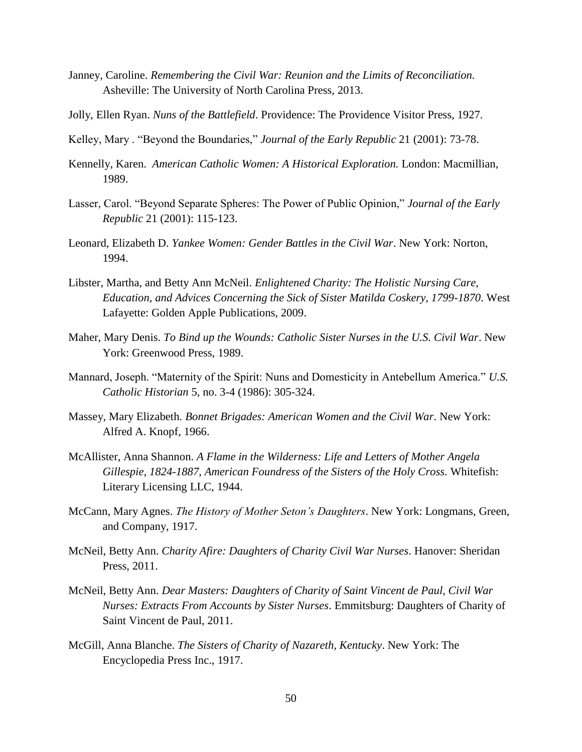- Janney, Caroline. *Remembering the Civil War: Reunion and the Limits of Reconciliation.*  Asheville: The University of North Carolina Press, 2013.
- Jolly, Ellen Ryan. *Nuns of the Battlefield*. Providence: The Providence Visitor Press, 1927.
- Kelley, Mary . "Beyond the Boundaries," *Journal of the Early Republic* 21 (2001): 73-78.
- Kennelly, Karen. *American Catholic Women: A Historical Exploration.* London: Macmillian, 1989.
- Lasser, Carol. "Beyond Separate Spheres: The Power of Public Opinion," *Journal of the Early Republic* 21 (2001): 115-123.
- Leonard, Elizabeth D. *Yankee Women: Gender Battles in the Civil War*. New York: Norton, 1994.
- Libster, Martha, and Betty Ann McNeil. *Enlightened Charity: The Holistic Nursing Care, Education, and Advices Concerning the Sick of Sister Matilda Coskery, 1799-1870*. West Lafayette: Golden Apple Publications, 2009.
- Maher, Mary Denis. *To Bind up the Wounds: Catholic Sister Nurses in the U.S. Civil War*. New York: Greenwood Press, 1989.
- Mannard, Joseph. "Maternity of the Spirit: Nuns and Domesticity in Antebellum America." *U.S. Catholic Historian* 5, no. 3-4 (1986): 305-324.
- Massey, Mary Elizabeth. *Bonnet Brigades: American Women and the Civil War*. New York: Alfred A. Knopf, 1966.
- McAllister, Anna Shannon. *A Flame in the Wilderness: Life and Letters of Mother Angela Gillespie, 1824-1887, American Foundress of the Sisters of the Holy Cross.* Whitefish: Literary Licensing LLC, 1944.
- McCann, Mary Agnes. *The History of Mother Seton's Daughters*. New York: Longmans, Green, and Company, 1917.
- McNeil, Betty Ann. *Charity Afire: Daughters of Charity Civil War Nurses*. Hanover: Sheridan Press, 2011.
- McNeil, Betty Ann. *Dear Masters: Daughters of Charity of Saint Vincent de Paul, Civil War Nurses: Extracts From Accounts by Sister Nurses*. Emmitsburg: Daughters of Charity of Saint Vincent de Paul, 2011.
- McGill, Anna Blanche. *The Sisters of Charity of Nazareth, Kentucky*. New York: The Encyclopedia Press Inc., 1917.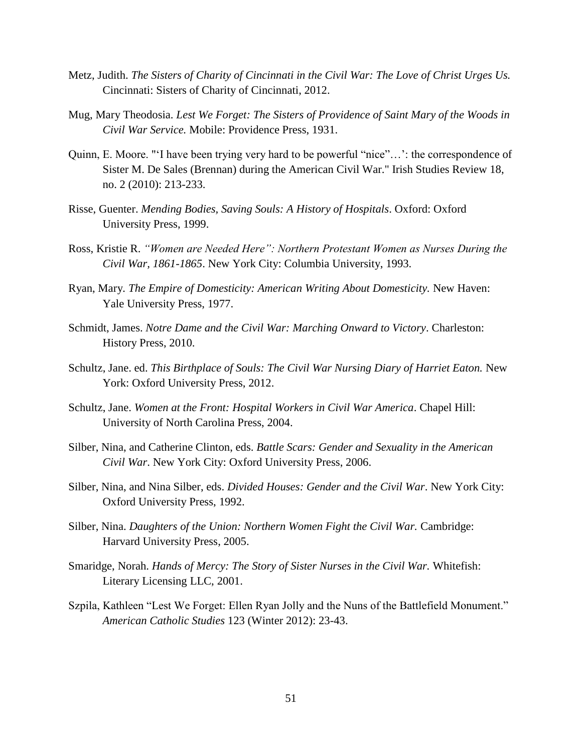- Metz, Judith. *The Sisters of Charity of Cincinnati in the Civil War: The Love of Christ Urges Us.* Cincinnati: Sisters of Charity of Cincinnati, 2012.
- Mug, Mary Theodosia. *Lest We Forget: The Sisters of Providence of Saint Mary of the Woods in Civil War Service.* Mobile: Providence Press, 1931.
- Quinn, E. Moore. "'I have been trying very hard to be powerful "nice"…': the correspondence of Sister M. De Sales (Brennan) during the American Civil War." Irish Studies Review 18, no. 2 (2010): 213-233.
- Risse, Guenter. *Mending Bodies, Saving Souls: A History of Hospitals*. Oxford: Oxford University Press, 1999.
- Ross, Kristie R. *"Women are Needed Here": Northern Protestant Women as Nurses During the Civil War, 1861-1865*. New York City: Columbia University, 1993.
- Ryan, Mary*. The Empire of Domesticity: American Writing About Domesticity.* New Haven: Yale University Press, 1977.
- Schmidt, James. *Notre Dame and the Civil War: Marching Onward to Victory*. Charleston: History Press, 2010.
- Schultz, Jane. ed. *This Birthplace of Souls: The Civil War Nursing Diary of Harriet Eaton*. New York: Oxford University Press, 2012.
- Schultz, Jane. *Women at the Front: Hospital Workers in Civil War America*. Chapel Hill: University of North Carolina Press, 2004.
- Silber, Nina, and Catherine Clinton, eds. *Battle Scars: Gender and Sexuality in the American Civil War*. New York City: Oxford University Press, 2006.
- Silber, Nina, and Nina Silber, eds. *Divided Houses: Gender and the Civil War*. New York City: Oxford University Press, 1992.
- Silber, Nina. *Daughters of the Union: Northern Women Fight the Civil War.* Cambridge: Harvard University Press, 2005.
- Smaridge, Norah. *Hands of Mercy: The Story of Sister Nurses in the Civil War.* Whitefish: Literary Licensing LLC, 2001.
- Szpila, Kathleen "Lest We Forget: Ellen Ryan Jolly and the Nuns of the Battlefield Monument." *American Catholic Studies* 123 (Winter 2012): 23-43.